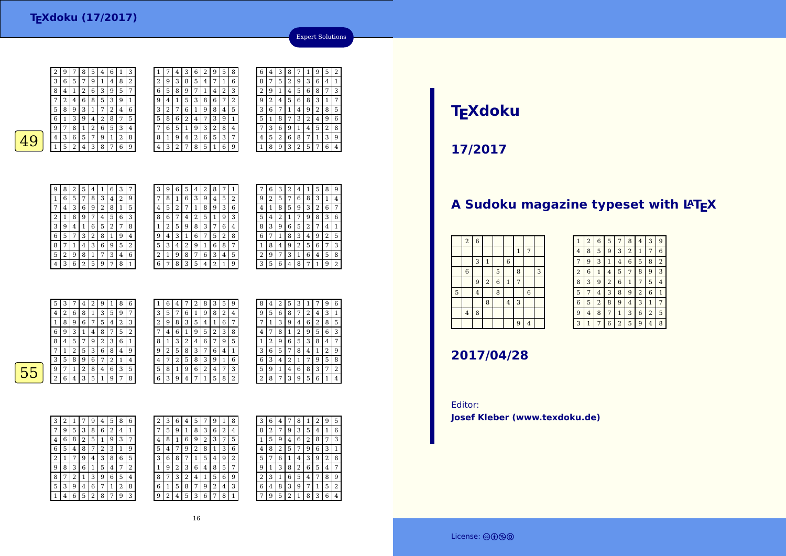<sup>9</sup> <sup>7</sup> <sup>8</sup> <sup>5</sup> <sup>4</sup> <sup>6</sup> <sup>1</sup> <sup>3</sup> 3 $\frac{3}{6}$  5 7 <sup>9</sup> <sup>1</sup> <sup>4</sup> <sup>8</sup> <sup>2</sup> 8 $\frac{8}{1}$  <sup>1</sup> <sup>2</sup> <sup>6</sup> <sup>3</sup> <sup>9</sup> <sup>5</sup> <sup>7</sup> 7 <sup>2</sup> <sup>4</sup> <sup>6</sup> <sup>8</sup> <sup>5</sup> <sup>3</sup> <sup>9</sup> <sup>1</sup> 55 8 9 3 1 <sup>7</sup> <sup>2</sup> <sup>4</sup> <sup>6</sup>  $rac{6}{1}$  $\frac{9}{1}$   $\frac{4}{2}$   $\frac{2}{6}$   $\frac{8}{5}$ 9 $\frac{9}{1}$  <sup>8</sup> <sup>1</sup> <sup>2</sup> <sup>6</sup> <sup>5</sup> <sup>3</sup> <sup>4</sup> 4 $\begin{array}{|c|c|c|c|c|}\n\hline \bf{49} & \begin{array}{|c|c|c|c|}\n\hline 49 & \begin{array}{|c|c|c|}\n\hline 152438768 & \hline \end{array} \end{array} \end{array}$  $1 | 5 | 2 | 4 | 3 | 8 | 7 | 6 | 9$ 

| 1 |   | 4 | 3 | 6 | 2 | 9 | 5 | 8 | 6              | 4      | 3 | 8 |   |   | 9 | 5              | $\overline{2}$ |
|---|---|---|---|---|---|---|---|---|----------------|--------|---|---|---|---|---|----------------|----------------|
| 2 | 9 | 3 | 8 | 5 | 4 | 7 | 1 | 6 | 8              | 7      | 5 | 2 | 9 | 3 | 6 | 4              | 1              |
| 6 | 5 | 8 | 9 | 7 | 1 | 4 | 2 | 3 | $\overline{2}$ | 9      | 1 | 4 | 5 | 6 | 8 | 7              | 3              |
| 9 | 4 | 1 | 5 | 3 | 8 | 6 | 7 | 2 | 9              | ∍<br>∠ | 4 | 5 | 6 | 8 | 3 | 1              | 7              |
| 3 | 2 | 7 | 6 | 1 | 9 | 8 | 4 | 5 | 3              | 6      | 7 | 1 | 4 | 9 | 2 | 8              | 5              |
| 5 | 8 | 6 | 2 | 4 | 7 | 3 | 9 | 1 | 5              |        | 8 | 7 | 3 | 2 | 4 | 9              | 6              |
| 7 | 6 | 5 |   | 9 | 3 | 2 | 8 | 4 | 7              | 3      | 6 | 9 | 1 | 4 | 5 | $\overline{2}$ | 8              |
| 8 | 1 | 9 | 4 | 2 | 6 | 5 | 3 | 7 | 4              | 5      | 2 | 6 | 8 | 7 | 1 | 3              | 9              |
| 4 | 3 | 2 | 7 | 8 | 5 | 1 | 6 | 9 | 1              | 8      | 9 | 3 | 2 | 5 | 7 | 6              | 4              |
|   |   |   |   |   |   |   |   |   |                |        |   |   |   |   |   |                |                |

| У              |   | ŏ |   | 4 |
|----------------|---|---|---|---|
| $\overline{4}$ | 3 | 6 | 5 |   |
|                | 5 | 2 | 4 | 3 |
|                |   |   |   |   |
|                |   |   |   |   |

 $|2|$ 

| 9            | 8 | 2 | 5              | 4 | 1 | 6              | 3 | 7              |
|--------------|---|---|----------------|---|---|----------------|---|----------------|
| $\mathbf{1}$ | 6 | 5 | 7              | 8 | 3 | 4              | 2 | 9              |
| 7            | 4 | 3 | 6              | 9 | 2 | 8              | 1 | 5              |
| 2            | 1 | 8 | 9              | 7 | 4 | 5              | 6 | 3              |
| 3            | 9 | 4 | 1              | 6 | 5 | $\overline{2}$ | 7 | 8              |
| 6            | 5 | 7 | 3              | 2 | 8 | $\mathbf{1}$   | 9 | 4              |
| 8            | 7 | 1 | 4              | 3 | 6 | 9              | 5 | $\overline{2}$ |
| 5            | 2 | 9 | 8              | 1 |   | 3              | 4 | 6              |
| 4            | 3 | 6 | $\overline{2}$ | 5 | 9 | 7              | 8 | 1              |

3

7

 $\alpha$  $\frac{4}{3}$ 

| 3 | 9              | 6 | 5 | 4 | 2              | 8      |   |   |                | 6      | 3 |   | 4 |   | 5 | 8 | 9 |
|---|----------------|---|---|---|----------------|--------|---|---|----------------|--------|---|---|---|---|---|---|---|
| 7 | 8              | 1 | 6 | 3 | 9              | 4      | 5 | 2 | 9              | າ<br>∠ | 5 | 7 | 6 | 8 | 3 | 1 | 4 |
| 4 | 5              | 2 | 7 |   | 8              | 9      | 3 | 6 | 4              |        | 8 | 5 | 9 | 3 | 2 | 6 | 7 |
| 8 | 6              |   | 4 | 2 | 5              |        | 9 | 3 | 5              | 4      |   |   | 7 | 9 | 8 | 3 | 6 |
| 1 | $\overline{2}$ | 5 | 9 | 8 | 3              | 7      | 6 | 4 | 8              | 3      | 9 | 6 | 5 | 2 | 7 | 4 | 1 |
| 9 | 4              | 3 | 1 | 6 | 7              | 5      | 2 | 8 | 6              | ⇁      |   | 8 | 3 | 4 | 9 | 2 | 5 |
| 5 | 3              | 4 | 2 | 9 | 1              | 6      | 8 | 7 |                | 8      | 4 | 9 | 2 | 5 | 6 | 7 | 3 |
| 2 | 1              | 9 | 8 | 7 | 6              | 3      | 4 | 5 | $\overline{2}$ | 9      | 7 | 3 | 1 | 6 | 4 | 5 | 8 |
| 6 | 7              | 8 | 3 | 5 | $\overline{4}$ | n<br>4 |   | 9 | 3              | 5      | 6 | 4 | 8 | 7 | 1 | 9 | 2 |

|    | 5              | 3 | 7 | 4 | 2 | 9 |   | 8 | 6              | 1 | 6 | 4 | 7 | 2 | 8 | 3 | 5 | 9              |
|----|----------------|---|---|---|---|---|---|---|----------------|---|---|---|---|---|---|---|---|----------------|
|    | $\overline{4}$ | 2 | 6 | 8 |   | 3 | 5 | 9 | 7              | 3 | 5 | 7 | 6 |   | 9 | 8 | 2 | 4              |
|    |                | 8 | 9 | 6 |   | 5 | 4 | 2 | 3              | 2 | 9 | 8 | 3 | 5 | 4 |   | 6 | 7              |
|    | 6              | 9 | 3 |   | 4 | 8 |   | 5 | $\overline{2}$ | 7 | 4 | 6 |   | 9 | 5 | 2 | 3 | 8              |
|    | 8              | 4 | 5 | 7 | 9 | 2 | 3 | 6 | 1              | 8 |   | 3 | 2 | 4 | 6 |   | 9 | 5              |
|    |                |   | 2 | 5 | 3 | 6 | 8 | 4 | 9              | 9 | 2 | 5 | 8 | 3 | 7 | 6 | 4 | 1              |
|    | 3              | 5 | 8 | 9 | 6 | 7 | 2 |   | 4              | 4 |   | 2 | 5 | 8 | 3 | 9 |   | 6              |
| 55 | 9              |   |   | 2 | 8 | 4 | 6 | 3 | 5              | 5 | 8 |   | 9 | 6 | 2 | 4 | 7 | 3              |
|    | $\overline{2}$ | 6 | 4 | 3 | 5 | 1 | 9 | 7 | 8              | 6 | 3 | 9 | 4 | 7 |   | 5 | 8 | $\overline{2}$ |
|    |                |   |   |   |   |   |   |   |                |   |   |   |   |   |   |   |   |                |

| 9           | 8              | 4 | 2 | 5 | 3              | 1              |   | 9 | 6              |
|-------------|----------------|---|---|---|----------------|----------------|---|---|----------------|
| 4           | 9              | 5 | 6 | 8 | 7              | $\overline{2}$ | 4 | 3 | 1              |
| 7           |                | 1 | 3 | 9 | 4              | 6              | 2 | 8 | 5              |
| 8           | 4              |   | 8 | 1 | $\overline{2}$ | 9              | 5 | 6 | 3              |
| 5           | 1              | 2 | 9 | 6 | 5              | 3              | 8 | 4 | 7              |
| $\mathbf 1$ | 3              | 6 | 5 | 7 | 8              | 4              | 1 | 2 | 9              |
| 6           | 6              | 3 | 4 | 2 | 1              | 7              | 9 | 5 | 8              |
| 3           | 5              | 9 | 1 | 4 | 6              | 8              | 3 | 7 | $\overline{2}$ |
| 2           | $\overline{c}$ | 8 | 7 | 3 | 9              | 5              | 6 | 1 | 4              |
|             |                |   |   |   |                |                |   |   |                |

Expert Solutions

 $2 | 6 | 4 | 3 | 5 | 1 | 9 | 7 | 8$ 

| 3 | 2 |   |   | 9 | 4 | 5            | 8 | 6 |  |
|---|---|---|---|---|---|--------------|---|---|--|
|   | 9 | 5 | 3 | 8 | 6 | 2            | 4 | 1 |  |
| 4 | 6 | 8 | 2 | 5 | 1 | 9            | 3 | 7 |  |
| 6 | 5 | 4 | 8 | 7 | 2 | 3            | 1 | 9 |  |
| 2 | 1 | 7 | 9 | 4 | 3 | 8            | 6 | 5 |  |
| 9 | 8 | 3 | 6 | 1 | 5 | 4            | 7 | 2 |  |
| 8 | 7 | 2 | 1 | 3 | 9 | 6            | 5 | 4 |  |
| 5 | 3 | 9 | 4 | 6 | 7 | $\mathbf{1}$ | 2 | 8 |  |
|   | 4 | 6 | 5 | 2 | 8 | 7            | 9 | 3 |  |

| 2 | 3 | 6              | 4 | 5 |   | g |   | 8 | 3 | 6 | $\overline{4}$ |   | 8 |   | 2 | 9 | 5 |
|---|---|----------------|---|---|---|---|---|---|---|---|----------------|---|---|---|---|---|---|
| 7 | 5 | 9              |   | 8 | 3 | 6 | 2 | 4 | 8 | 2 | 7              | 9 | 3 | 5 | 4 | 1 | 6 |
| 4 | 8 | 1              | 6 | 9 | 2 | 3 | 7 | 5 |   | 5 | 9              | 4 | 6 | 2 | 8 | 7 | 3 |
| 5 | 4 |                | 9 | 2 | 8 |   | 3 | 6 | 4 | 8 |                | 5 |   | 9 | 6 | 3 | 1 |
| 3 | 6 | 8              | 7 |   | 5 | 4 | 9 | 2 | 5 | 7 | 6              | 1 | 4 | 3 | 9 | 2 | 8 |
| 1 | 9 | $\overline{2}$ | 3 | 6 | 4 | 8 | 5 | 7 | 9 |   | 3              | 8 | 2 | 6 | 5 | 4 | 7 |
| 8 |   | 3              | 2 | 4 |   | 5 | 6 | 9 | 2 | 3 |                | 6 | 5 | 4 |   | 8 | 9 |
| 6 | 1 | 5              | 8 | 7 | 9 | 2 | 4 | 3 | 6 | 4 | 8              | 3 | 9 | 7 | 1 | 5 | 2 |
| 9 | 2 | 4              | 5 | 3 | 6 | ⇁ | 8 |   | ⇁ | 9 | 5              | n | 1 | 8 | 3 | 6 | 4 |
|   |   |                |   |   |   |   |   |   |   |   |                |   |   |   |   |   |   |

# **TEXdoku**

**17/2017**

## A Sudoku magazine typeset with LAT<sub>E</sub>X

| $\overline{2}$   | $\overline{6}$ |                         |                |                |                |                |   |
|------------------|----------------|-------------------------|----------------|----------------|----------------|----------------|---|
|                  |                |                         |                |                | $1\,$          | 7              |   |
|                  | 3              | $\mathbf{1}$            |                | $\,$ 6 $\,$    |                |                |   |
| $\boldsymbol{6}$ |                |                         | 5              |                | 8              |                | 3 |
|                  | 9              | $\overline{\mathbf{c}}$ | $\overline{6}$ | $\,1\,$        | $\overline{7}$ |                |   |
|                  | $\overline{4}$ |                         | 8              |                |                | $\overline{6}$ |   |
|                  |                | 8                       |                | $\overline{4}$ | 3              |                |   |
| $\bf{4}$         | 8              |                         |                |                |                |                |   |
|                  |                |                         |                |                | 9              | $\overline{4}$ |   |
|                  |                |                         |                |                |                |                |   |

| 1              | $\overline{2}$ | 6              | 5              | 7              | 8              | 4              | 3              | 9              |
|----------------|----------------|----------------|----------------|----------------|----------------|----------------|----------------|----------------|
| 4              | 8              | 5              | 9              | 3              | $\overline{c}$ | 1              | 7              | 6              |
| 7              | 9              | 3              | 1              | $\overline{4}$ | 6              | 5              | 8              | $\overline{2}$ |
| $\overline{2}$ | 6              | 1              | 4              | 5              | 7              | 8              | 9              | 3              |
| 8              | 3              | 9              | $\overline{2}$ | 6              | 1              | 7              | 5              | 4              |
| 5              | 7              | 4              | 3              | 8              | 9              | $\overline{2}$ | 6              | 1              |
| 6              | 5              | $\overline{2}$ | 8              | 9              | 4              | 3              | 1              | 7              |
| 9              | $\overline{4}$ | 8              | 7              | $\mathbf{1}$   | 3              | 6              | $\overline{2}$ | 5              |
| 3              | $\overline{1}$ | 7              | 6              | $\overline{2}$ | 5              | 9              | 4              | 8              |

**2017/04/28**

Editor:**Josef Kleber (www.texdoku.de)**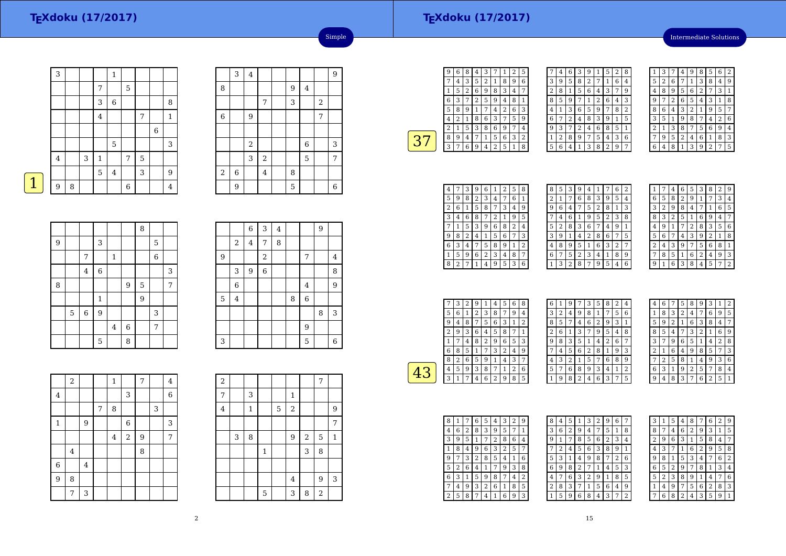### **TEXdoku (17/2017)**

Intermediate Solutions

|   | 3       |   |   |         | $\mathbf{1}$ |             |   |             |                |
|---|---------|---|---|---------|--------------|-------------|---|-------------|----------------|
|   |         |   |   | 7       |              | $\mathbf 5$ |   |             |                |
|   |         |   |   | 3       | $\,$ 6       |             |   |             | 8              |
|   |         |   |   | $\bf 4$ |              |             | 7 |             | $\mathbf{1}$   |
|   |         |   |   |         |              |             |   | $\,$ 6 $\,$ |                |
|   |         |   |   |         | 5            |             |   |             | 3              |
|   | $\bf 4$ |   | 3 | $\,1\,$ |              | 7           | 5 |             |                |
|   |         |   |   | 5       | $\bf 4$      |             | 3 |             | 9              |
| 1 | 9       | 8 |   |         |              | 6           |   |             | $\overline{4}$ |

|             | 3              | $\bf 4$        |                |   |         |   | 9 |
|-------------|----------------|----------------|----------------|---|---------|---|---|
| 8           |                |                |                | 9 | $\bf 4$ |   |   |
|             |                |                | 7              | 3 |         | 2 |   |
| $\,$ 6 $\,$ |                | 9              |                |   |         | 7 |   |
|             |                |                |                |   |         |   |   |
|             |                | $\overline{2}$ |                |   | 6       |   | 3 |
|             |                | $\mathsf 3$    | $\sqrt{2}$     |   | 5       |   | 7 |
| $\sqrt{2}$  | $\overline{6}$ |                | $\overline{4}$ | 8 |         |   |   |
|             | 9              |                |                | 5 |         |   | 6 |

Simple

|   |   |             |                  |             |             | 8 |   |   |
|---|---|-------------|------------------|-------------|-------------|---|---|---|
| 9 |   |             | 3                |             |             |   | 5 |   |
|   |   | 7           |                  | $\mathbf 1$ |             |   | 6 |   |
|   |   | $\bf 4$     | $\,$ 6 $\,$      |             |             |   |   | 3 |
| 8 |   |             |                  |             | 9           | 5 |   | 7 |
|   |   |             | $\mathbf{1}$     |             |             | 9 |   |   |
|   | 5 | $\,$ 6 $\,$ | $\boldsymbol{9}$ |             |             |   | 3 |   |
|   |   |             |                  | $\bf 4$     | $\,$ 6 $\,$ |   | 7 |   |
|   |   |             | 5                |             | 8           |   |   |   |

|   |                | $\overline{6}$ | 3                       | $\overline{\mathbf{4}}$ |   |                | 9 |         |
|---|----------------|----------------|-------------------------|-------------------------|---|----------------|---|---------|
|   | $\,2$          | $\overline{4}$ | 7                       | 8                       |   |                |   |         |
| 9 |                |                | $\overline{\mathbf{c}}$ |                         |   | 7              |   | $\bf 4$ |
|   | 3              | 9              | 6                       |                         |   |                |   | 8       |
|   | $\overline{6}$ |                |                         |                         |   | $\overline{4}$ |   | 9       |
| 5 | 4              |                |                         |                         | 8 | $\,$ 6 $\,$    |   |         |
|   |                |                |                         |                         |   |                | 8 | 3       |
|   |                |                |                         |                         |   | 9              |   |         |
| 3 |                |                |                         |                         |   | 5              |   | 6       |

|                         | $\,2$   |                |   | $\,1\,$        |                         | 7 |   | $\overline{4}$ |
|-------------------------|---------|----------------|---|----------------|-------------------------|---|---|----------------|
| $\overline{\mathbf{4}}$ |         |                |   |                | 3                       |   |   | 6              |
|                         |         |                | 7 | 8              |                         |   | 3 |                |
| $\mathbf 1$             |         | 9              |   |                | $\,$ 6 $\,$             |   |   | 3              |
|                         |         |                |   | $\overline{4}$ | $\overline{\mathbf{c}}$ | 9 |   | 7              |
|                         | $\bf 4$ |                |   |                |                         | 8 |   |                |
| $\overline{6}$          |         | $\overline{4}$ |   |                |                         |   |   |                |
| 9                       | 8       |                |   |                |                         |   |   |                |
|                         | 7       | 3              |   |                |                         |   |   |                |

| $\boldsymbol{2}$ |   |         |   |   |                  |       | 7          |              |
|------------------|---|---------|---|---|------------------|-------|------------|--------------|
| 7                |   | 3       |   |   | $\mathbf{1}$     |       |            |              |
| $\overline{4}$   |   | $\,1\,$ |   | 5 | $\boldsymbol{2}$ |       |            | 9            |
|                  |   |         |   |   |                  |       |            | 7            |
|                  | 3 | 8       |   |   | 9                | $\,2$ | 5          | $\mathbf{1}$ |
|                  |   |         | 1 |   |                  | 3     | 8          |              |
|                  |   |         |   |   |                  |       |            |              |
|                  |   |         |   |   | $\overline{4}$   |       | 9          | 3            |
|                  |   |         | 5 |   | 3                | 8     | $\sqrt{2}$ |              |

┱

-

| g              | 6 | 8 | 4 | 3            | 7 | 1 | 2 | 5 |  |
|----------------|---|---|---|--------------|---|---|---|---|--|
|                | 4 | 3 | 5 | 2            | 1 | 8 | 9 | 6 |  |
| $\mathbf{1}$   | 5 | 2 | 6 | 9            | 8 | 3 | 4 | 7 |  |
| 6              | 3 | 7 | 2 | 5            | 9 | 4 | 8 | 1 |  |
| 5              | 8 | 9 | 1 | 7            | 4 | 2 | 6 | 3 |  |
| 4              | 2 | 1 | 8 | 6            | 3 | 7 | 5 | 9 |  |
| $\overline{c}$ | 1 | 5 | 3 | 8            | 6 | 9 | 7 | 4 |  |
| 8              | 9 | 4 | 7 | $\mathbf{1}$ | 5 | 6 | 3 | 2 |  |
| 3              | 7 | 6 | 9 | 4            | 2 | 5 | 1 | 8 |  |
|                |   |   |   |              |   |   |   |   |  |

|   | 4 | 6 | 3 | 9 | 1 | 5              | $\overline{2}$ | 8              |
|---|---|---|---|---|---|----------------|----------------|----------------|
| 3 | 9 | 5 | 8 | 2 | 7 | 1              | 6              | 4              |
| 2 | 8 | 1 | 5 | 6 | 4 | 3              | 7              | 9              |
| 8 | 5 | 9 | 7 | 1 | 2 | 6              | 4              | 3              |
| 4 | 1 | 3 | 6 | 5 | 9 | 7              | 8              | $\overline{2}$ |
| 6 | 7 | 2 | 4 | 8 | 3 | 9              | 1              | 5              |
| 9 | 3 | 7 | 2 | 4 | 6 | 8              | 5              | 1              |
| 1 | 2 | 8 | 9 | 7 | 5 | 4              | 3              | 6              |
| 5 | 6 | 4 | 1 | 3 | 8 | $\overline{2}$ | 9              | 7              |

|   | 3              |   | 4 | 9 | 8 | 5              | 6              | 2 |
|---|----------------|---|---|---|---|----------------|----------------|---|
| 5 | $\overline{2}$ | 6 | 7 | 1 | 3 | 8              | 4              | 9 |
| 4 | 8              | 9 | 5 | 6 | 2 | 7              | 3              | 1 |
| 9 | 7              | 2 | 6 | 5 | 4 | 3              | 1              | 8 |
| 8 | 6              | 4 | 3 | 2 | 1 | 9              | 5              | 7 |
| 3 | 5              | 1 | 9 | 8 | 7 | 4              | $\overline{2}$ | 6 |
| 2 | 1              | 3 | 8 | 7 | 5 | 6              | 9              | 4 |
| 7 | 9              | 5 | 2 | 4 | 6 | 1              | 8              | 3 |
|   | 4              | 8 |   | 3 | g | $\overline{2}$ |                | 5 |

| 4              |                | 3 | 9 | 6 | 1 | 2 | 5 | 8 |
|----------------|----------------|---|---|---|---|---|---|---|
| 5              | 9              | 8 | 2 | 3 | 4 | 7 | 6 | 1 |
| $\overline{2}$ | 6              | 1 | 5 | 8 | 7 | 3 | 4 | 9 |
| 3              | 4              | 6 | 8 | 7 | 2 | 1 | 9 | 5 |
|                | 1              | 5 | 3 | 9 | 6 | 8 | 2 | 4 |
| 9              | 8              | 2 | 4 | 1 | 5 | 6 |   | 3 |
| 6              | 3              | 4 | 7 | 5 | 8 | 9 | 1 | 2 |
| 1              | 5              | 9 | 6 | 2 | 3 | 4 | 8 | 7 |
| 8              | $\overline{2}$ |   | 1 | 4 | 9 | 5 | 3 | 6 |

| 8 | 5 | 3 | 9 | 4              | 1 |                | 6 | 2            |
|---|---|---|---|----------------|---|----------------|---|--------------|
| 2 | 1 | 7 | 6 | 8              | 3 | 9              | 5 | 4            |
| 9 | 6 | 4 | 7 | 5              | 2 | 8              | 1 | 3            |
| 7 | 4 | 6 | 1 | 9              | 5 | $\overline{2}$ | 3 | 8            |
| 5 | 2 | 8 | 3 | 6              |   | 4              | 9 | $\mathbf{1}$ |
| 3 | 9 | 1 | 4 | $\overline{c}$ | 8 | 6              | 7 | 5            |
| 4 | 8 | 9 | 5 | 1              | 6 | 3              | 2 | 7            |
| 6 | 7 | 5 | 2 | 3              | 4 | 1              | 8 | g            |
|   | 3 | 2 | 8 | 7              | 9 | 5              | 4 | 6            |
|   |   |   |   |                |   |                |   |              |

| 1 |                | 4 | 6 | 5 | 3 | 8              | $\overline{2}$ | g              |
|---|----------------|---|---|---|---|----------------|----------------|----------------|
| 6 | 5              | 8 | 2 | 9 | 1 |                | 3              | 4              |
| 3 | $\overline{c}$ | 9 | 8 | 4 | 7 | 1              | 6              | 5              |
| 8 | 3              | 2 | 5 | 1 | 6 | 9              | 4              | 7              |
| 4 | 9              | 1 |   | 2 | 8 | 3              | 5              | 6              |
| 5 | 6              |   | 4 | 3 | 9 | $\overline{c}$ | $\mathbf{1}$   | 8              |
| 2 | 4              | 3 | 9 | 7 | 5 | 6              | 8              | 1              |
|   | 8              | 5 | 1 | 6 | 2 | 4              | 9              | 3              |
| ë |                | 6 | 3 | 8 | 4 | 5              | 7              | $\overline{2}$ |

|   | 3 | $\overline{2}$ | 9 | 1 | 4 | 5 | 6 | 8 |  |
|---|---|----------------|---|---|---|---|---|---|--|
| 5 | 6 | 1              | 2 | 3 | 8 | 7 | 9 | 4 |  |
| g | 4 | 8              | 7 | 5 | 6 | 3 | 1 | 2 |  |
| 2 | 9 | 3              | 6 | 4 | 5 | 8 | 7 | 1 |  |
| 1 | 7 | 4              | 8 | 2 | 9 | 6 | 5 | 3 |  |
| 6 | 8 | 5              | 1 | 7 | 3 | 2 | 4 | 9 |  |
| 8 | 2 | 6              | 5 | 9 | 1 | 4 | 3 | 7 |  |
| 4 | 5 | 9              | 3 | 8 | 7 | 1 | 2 | 6 |  |
| 3 | 1 | 7              | 4 | 6 | 2 | 9 | 8 | 5 |  |
|   |   |                |   |   |   |   |   |   |  |

| 6 | 1 | 9 |   |                         |   |   |   | 4                |  |
|---|---|---|---|-------------------------|---|---|---|------------------|--|
| 3 | 2 | 4 | 9 | 8                       | 1 | 7 | 5 | 6                |  |
| 8 | 5 | 7 | 4 | 6                       | 2 | 9 | 3 | 1                |  |
| 2 | 6 | 1 | 3 | 7                       | 9 | 5 | 4 | 8                |  |
| 9 | 8 | 3 | 5 | 1                       | 4 | 2 | 6 | 7                |  |
|   | 4 | 5 | 6 | $\overline{\mathbf{c}}$ | 8 | 1 | 9 | 3                |  |
| 4 | 3 | 2 | 1 | 5                       | 7 | 6 | 8 | 9                |  |
| 5 | 7 | 6 | 8 | 9                       | 3 | 4 | 1 | 2                |  |
|   | 9 | 8 | 2 | 4                       | 6 | 3 | 7 | 5                |  |
|   |   |   |   |                         |   |   |   | 2<br>3<br>8<br>5 |  |

| 4 | 6 |   | 5              | 8 | 9              | 3              | 1              | 2 |
|---|---|---|----------------|---|----------------|----------------|----------------|---|
| 1 | 8 | 3 | $\overline{2}$ | 4 |                | 6              | 9              | 5 |
| 5 | 9 | 2 | 1              | 6 | 3              | 8              | 4              | 7 |
| 8 | 5 | 4 | 7              | 3 | $\overline{2}$ | 1              | 6              | 9 |
| 3 | 7 | 9 | 6              | 5 | 1              | 4              | $\overline{2}$ | 8 |
| 2 | 1 | 6 | 4              | 9 | 8              | 5              | 7              | 3 |
| 7 | 2 | 5 | 8              | 1 | 4              | 9              | 3              | 6 |
| 6 | 3 | 1 | 9              | 2 | 5              | 7              | 8              | 4 |
| q | 4 | 8 | 3              | 7 | 6              | $\overline{2}$ | 5              | 1 |

| 8 | 1 | 7 | 6 | 5 | 4 | 3 | 2 | 9 |
|---|---|---|---|---|---|---|---|---|
| 4 | 6 | 2 | 8 | 3 | 9 | 5 | 7 | 1 |
| 3 | 9 | 5 | 1 | 7 | 2 | 8 | 6 | 4 |
| 1 | 8 | 4 | 9 | 6 | 3 | 2 | 5 |   |
| 9 | 7 | 3 | 2 | 8 | 5 | 4 | 1 | 6 |
| 5 | 2 | 6 | 4 | 1 | 7 | 9 | 3 | 8 |
| 6 | 3 |   | 5 | 9 | 8 | 7 | 4 | 2 |
| 7 | 4 | 9 | 3 | 2 | 6 | 1 | 8 | 5 |
| 2 | 5 | 8 | 7 | 4 | 1 | 6 | 9 | 3 |

| 8 | 4 | 5 | 1              | 3 | 2 | 9              | 6              |   |
|---|---|---|----------------|---|---|----------------|----------------|---|
| 3 | 6 | 2 | 9              | 4 | 7 | 5              | 1              | 8 |
| g | 1 | 7 | 8              | 5 | 6 | $\overline{c}$ | 3              | 4 |
|   | 2 | 4 | 5              | 6 | 3 | 8              | 9              | 1 |
| 5 | 3 | 1 | 4              | 9 | 8 | 7              | $\overline{2}$ | 6 |
| 6 | g | 8 | $\overline{c}$ | 7 | 1 | 4              | 5              | 3 |
| 4 | 7 | 6 | 3              | 2 | 9 | 1              | 8              | 5 |
| 2 | 8 | 3 | 7              | 1 | 5 | 6              | 4              | 9 |
|   | 5 | 9 | 6              | 8 | 4 | 3              | 7              | 2 |

| З | 1              | 5              | 4              | 8              |   | 6              | $\overline{2}$ | 9 |
|---|----------------|----------------|----------------|----------------|---|----------------|----------------|---|
| 8 | 7              | 4              | 6              | 2              | 9 | 3              | 1              | 5 |
| 2 | 9              | 6              | 3              | 1              | 5 | 8              | 4              | 7 |
| 4 | 3              | 7              | 1              | 6              | 2 | 9              | 5              | 8 |
| 9 | 8              | 1              | 5              | 3              | 4 | 7              | 6              | 2 |
| 6 | 5              | $\overline{2}$ | 9              | 7              | 8 | 1              | 3              | 4 |
| 5 | $\overline{2}$ | 3              | 8              | 9              | 1 | 4              | 7              | 6 |
| 1 | 4              | 9              | 7              | 5              | 6 | $\overline{2}$ | 8              | 3 |
|   | 6              | 8              | $\overline{2}$ | $\overline{4}$ | 3 | 5              | 9              | 1 |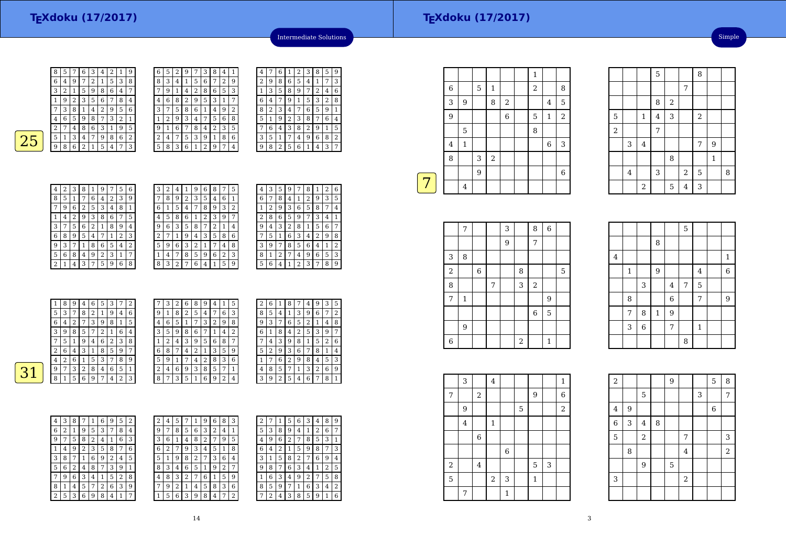| 8 | 5 |   | 6              | З | 4 | 2 | 1 | 9 |
|---|---|---|----------------|---|---|---|---|---|
| 6 | 4 | 9 |                | 2 | 1 | 5 | 3 | 8 |
| 3 | 2 | 1 | 5              | 9 | 8 | 6 | 4 | 7 |
|   | 9 | 2 | 3              | 5 | 6 | 7 | 8 | 4 |
|   | 3 | 8 |                | 4 | 2 | 9 | 5 | 6 |
| 4 | 6 | 5 | 9              | 8 | 7 | 3 | 2 |   |
| 2 |   | 4 | 8              | 6 | 3 | 1 | 9 | 5 |
| 5 | 1 | 3 | 4              | 7 | 9 | 8 | 6 | 2 |
| 9 | 8 | 6 | $\overline{2}$ | 1 | 5 | 4 | 7 | 3 |
|   |   |   |                |   |   |   |   |   |

| 6 | 5 | 2 | 9 |   | 3              | 8 | 4 | ı |
|---|---|---|---|---|----------------|---|---|---|
| 8 | 3 | 4 | 1 | 5 | 6              | 7 | 2 | 9 |
| 7 | 9 | 1 | 4 | 2 | 8              | 6 | 5 | 3 |
| 4 | 6 | 8 | 2 | 9 | 5              | 3 | 1 | 7 |
| 3 | 7 | 5 | 8 | 6 | 1              | 4 | 9 | 2 |
| 1 | 2 | 9 | 3 | 4 | 7              | 5 | 6 | 8 |
| 9 | 1 | 6 | 7 | 8 | 4              | 2 | 3 | 5 |
| 2 | 4 | 7 | 5 | 3 | 9              | 1 | 8 | 6 |
| 5 | 8 | 3 | 6 | 1 | $\overline{2}$ | 9 | 7 | 4 |

|  | 4 | 7 | 6 | 1 | 2 | З | 8 | 5 | 9 |
|--|---|---|---|---|---|---|---|---|---|
|  | 2 | 9 | 8 | 6 | 5 | 4 | 1 | 7 | 3 |
|  | 1 | 3 | 5 | 8 | 9 | 7 | 2 | 4 | 6 |
|  | 6 | 4 | 7 | 9 | 1 | 5 | 3 | 2 | 8 |
|  | 8 | 2 | 3 | 4 | 7 | 6 | 5 | 9 | 1 |
|  | 5 | 1 | 9 | 2 | 3 | 8 | 7 | 6 | 4 |
|  |   | 6 | 4 | 3 | 8 | 2 | 9 | 1 | 5 |
|  | 3 | 5 | 1 |   | 4 | 9 | 6 | 8 | 2 |
|  | g | 8 | 2 | 5 | 6 | 1 | 4 | 3 | 7 |
|  |   |   |   |   |   |   |   |   |   |

Intermediate Solutions

 $\boxed{31}$ 

| 4                       | 2 | 3 | 8              | 1              | 9 |   | 5 | 6 |
|-------------------------|---|---|----------------|----------------|---|---|---|---|
| 8                       | 5 | 1 | 7              | 6              | 4 | 2 | 3 | 9 |
| 7                       | 9 | 6 | $\overline{2}$ | 5              | 3 | 4 | 8 | 1 |
| 1                       | 4 | 2 | 9              | 3              | 8 | 6 | 7 | 5 |
| 3                       | 7 | 5 | 6              | $\overline{2}$ | 1 | 8 | 9 | 4 |
| 6                       | 8 | 9 | 5              | 4              | 7 | 1 | 2 | 3 |
| 9                       | 3 | 7 | 1              | 8              | 6 | 5 | 4 | 2 |
| 5                       | 6 | 8 | 4              | 9              | 2 | 3 | 1 | 7 |
| $\overline{\mathbf{c}}$ | 1 | 4 | 3              | 7              | 5 | 9 | 6 | 8 |

| 3 | 2 | 4              | 1 | 9 | 6 | 8 |   | 5 |  |
|---|---|----------------|---|---|---|---|---|---|--|
| 7 | 8 | 9              | 2 | 3 | 5 | 4 | 6 | 1 |  |
| 6 | 1 | 5              | 4 | 7 | 8 | 9 | 3 | 2 |  |
| 4 | 5 | 8              | 6 | 1 | 2 | 3 | 9 | 7 |  |
| 9 | 6 | 3              | 5 | 8 | 7 | 2 | 1 | 4 |  |
| 2 | 7 | 1              | 9 | 4 | 3 | 5 | 8 | 6 |  |
| 5 | 9 | 6              | 3 | 2 | 1 | 7 | 4 | 8 |  |
| 1 | 4 | 7              | 8 | 5 | 9 | 6 | 2 | 3 |  |
| 8 | 3 | $\overline{2}$ | 7 | 6 | 4 | 1 | 5 | 9 |  |

| 4              | 3 | 5 | 9              |   | 8 | 1 | 2 | 6 |
|----------------|---|---|----------------|---|---|---|---|---|
| 6              | 7 | 8 | 4              | 1 | 2 | 9 | 3 | 5 |
| 1              | 2 | 9 | 3              | 6 | 5 | 8 | 7 | 4 |
| $\overline{2}$ | 8 | 6 | 5              | 9 |   | 3 | 4 | 1 |
| 9              | 4 | 3 | $\overline{2}$ | 8 | 1 | 5 | 6 | 7 |
|                | 5 | 1 | 6              | 3 | 4 | 2 | 9 | 8 |
| 3              | 9 | 7 | 8              | 5 | 6 | 4 | 1 | 2 |
| 8              | 1 | 2 | 7              | 4 | 9 | 6 | 5 | 3 |
| 5              | 6 | 4 |                | 2 | 3 | 7 | 8 | 9 |

| 1              | 8 | 9 | 4 | 6 | 5 | 3 | 7 | 2 | 7              | 3 | 2 | 6 | 8 | 9 | 4 |   | 5              |
|----------------|---|---|---|---|---|---|---|---|----------------|---|---|---|---|---|---|---|----------------|
| 5              | 3 | 7 | 8 | 2 |   | 9 | 4 | 6 | 9              | 1 | 8 | 2 | 5 | 4 |   | 6 | 3              |
| 6              | 4 | n |   | 3 | 9 | 8 |   | 5 | 4              | 6 | 5 |   | 7 | 3 | 2 | 9 | 8              |
| 3              | 9 | 8 | 5 | 7 | っ |   | 6 | 4 | 3              | 5 | 9 | 8 | 6 | ¬ |   | 4 | $\overline{2}$ |
| 7              | 5 |   | 9 | 4 | 6 | 2 | 3 | 8 |                | 2 | 4 | 3 | 9 | 5 | 6 | 8 | 7              |
| $\overline{2}$ | 6 | 4 | 3 | 1 | 8 | 5 | 9 | 7 | 6              | 8 |   | 4 | 2 |   | 3 | 5 | 9              |
| 4              | 2 | 6 |   | 5 | 3 |   | 8 | 9 | 5              | 9 |   |   | 4 | 2 | 8 | 3 | 6              |
| 9              |   | 3 | 2 | 8 | 4 | 6 | 5 | 1 | $\overline{2}$ | 4 | 6 | 9 | 3 | 8 | 5 | 7 | 1              |
| 8              |   | 5 | 6 | 9 | 7 | 4 | 2 | 3 | 8              | 7 | 3 | 5 |   | 6 | 9 | 2 | 4              |

| 2 | 6 | 1 | 8 | 7              | 4 | 9 | 3              | 5 |
|---|---|---|---|----------------|---|---|----------------|---|
| 8 | 5 | 4 | 1 | 3              | 9 | 6 | 7              | 2 |
| 9 | 3 | 7 | 6 | 5              | 2 | 1 | 4              | 8 |
| 6 | 1 | 8 | 4 | $\overline{2}$ | 5 | 3 | 9              | 7 |
|   | 4 | 3 | 9 | 8              | 1 | 5 | $\overline{2}$ | 6 |
| 5 | 2 | 9 | 3 | 6              | 7 | 8 | $\mathbf{1}$   | 4 |
| 1 | 7 | 6 | 2 | 9              | 8 | 4 | 5              | 3 |
| 4 | 8 | 5 | 7 | 1              | 3 | 2 | 6              | 9 |
|   | 9 | 2 | 5 | 4              | 6 | 7 | 8              | 1 |

| 4              | 3 | 8 | 7            | 1 | 6            | 9 | 5 | $\overline{2}$ |
|----------------|---|---|--------------|---|--------------|---|---|----------------|
| 6              | 2 | 1 | 9            | 5 | 3            | 7 | 8 | 4              |
| 9              | 7 | 5 | 8            | 2 | 4            | 1 | 6 | 3              |
| 1              | 4 | 9 | 2            | 3 | 5            | 8 | 7 | 6              |
| 3              | 8 | 7 | $\mathbf{1}$ | 6 | 9            | 2 | 4 | 5              |
| 5              | 6 | 2 | 4            | 8 | 7            | 3 | 9 | 1              |
| 7              | 9 | 6 | 3            | 4 | $\mathbf{1}$ | 5 | 2 | 8              |
| 8              | 1 | 4 | 5            | 7 | 2            | 6 | 3 | 9              |
| $\overline{c}$ | 5 | 3 | 6            | 9 | 8            | 4 | 1 | 7              |

| 2 | 4 |   |   |   | y | 6 | 8              | 3 | 2 | 7 |
|---|---|---|---|---|---|---|----------------|---|---|---|
| 9 | 7 | 8 | 5 | 6 | 3 | 2 | 4              | 1 | 5 | 3 |
| 3 | 6 | 1 | 4 | 8 | 2 | 7 | 9              | 5 | 4 | 9 |
| 6 | 2 |   | 9 | 3 | 4 | 5 | 1              | 8 | 6 |   |
| 5 | 1 | 9 | 8 | 2 | 7 | 3 | 6              | 4 | 3 | 1 |
| 8 | 3 | 4 | 6 | 5 | 1 | 9 | $\overline{2}$ | 7 | 9 | 8 |
| 4 | 8 | 3 | 2 | 7 | 6 | 1 | 5              | 9 | 1 | 6 |
| 7 | 9 | 2 |   | 4 | 5 | 8 | 3              | 6 | 8 | 5 |
| 1 | 5 | 6 | 3 | 9 | 8 | 4 | 7              | 2 |   | 2 |
|   |   |   |   |   |   |   |                |   |   |   |

| 2 |   |   | 5              | 6 | 3 | 4 | 8              | 9              |
|---|---|---|----------------|---|---|---|----------------|----------------|
| 5 | 3 | 8 | 9              | 4 | 1 | 2 | 6              | 7              |
| 4 | 9 | 6 | $\overline{c}$ | 7 | 8 | 5 | 3              | 1              |
| 6 | 4 | 2 | 1              | 5 | 9 | 8 | 7              | 3              |
| 3 | 1 | 5 | 8              | 2 | 7 | 6 | 9              | 4              |
| 9 | 8 | 7 | 6              | 3 | 4 | 1 | $\overline{2}$ | 5              |
| 1 | 6 | 3 | 4              | 9 | 2 |   | 5              | 8              |
| 8 | 5 | 9 | 7              | 1 | 6 | 3 | 4              | $\overline{2}$ |
|   | 2 | 4 | 3              | 8 | 5 | 9 | 1              | 6              |

| 8<br>5<br>$\overline{2}$ |
|--------------------------|
|                          |
|                          |
|                          |
|                          |
| 3                        |
|                          |
| 6                        |
|                          |
|                          |

|            | 7            |             |   | 3 |                | 8                | $\,6$ |   |
|------------|--------------|-------------|---|---|----------------|------------------|-------|---|
|            |              |             |   | 9 |                | 7                |       |   |
| 3          | 8            |             |   |   |                |                  |       |   |
| $\sqrt{2}$ |              | $\,$ 6 $\,$ |   |   | 8              |                  |       | 5 |
| 8          |              |             | 7 |   | 3              | $\,2$            |       |   |
| 7          | $\mathbf{1}$ |             |   |   |                |                  | 9     |   |
|            |              |             |   |   |                | $\boldsymbol{6}$ | 5     |   |
|            | 9            |             |   |   |                |                  |       |   |
| 6          |              |             |   |   | $\overline{a}$ |                  | 1     |   |

|                |              |                | 8            |             |                |                |   |
|----------------|--------------|----------------|--------------|-------------|----------------|----------------|---|
| $\overline{4}$ |              |                |              |             |                |                | 1 |
|                | $\mathbf{1}$ |                | 9            |             |                | $\overline{4}$ | 6 |
|                |              | 3              |              | 4           | $\overline{7}$ | 5              |   |
|                | 8            |                |              | $\,$ 6 $\,$ |                | 7              | 9 |
|                | 7            | 8              | $\mathbf{1}$ | 9           |                |                |   |
|                | 3            | $\overline{6}$ |              | 7           |                | $\mathbf{1}$   |   |
|                |              |                |              |             | 8              |                |   |

5

 $\frac{5}{\sqrt{1}}$  1 2

4

2

 $\frac{2}{7}$  |  $\frac{7}{7}$  $\frac{3}{4}$ 

 $\frac{8}{2}$ 1 4 3 2

8

<sup>3</sup> <sup>2</sup> <sup>5</sup> <sup>8</sup>

 $5 \mid 4 \mid 3$ 

5

 $\begin{array}{c|c|c|c|c} \hline 5 & 8 \\ \hline \end{array}$ 7

|            | 3                       |                         | $\overline{\mathbf{4}}$ |         |   |              |   | $\mathbf{1}$ |  |
|------------|-------------------------|-------------------------|-------------------------|---------|---|--------------|---|--------------|--|
| 7          |                         | $\,2$                   |                         |         |   | 9            |   | $\,$ 6 $\,$  |  |
|            | 9                       |                         |                         |         | 5 |              |   | $\,2$        |  |
|            | $\overline{\mathbf{4}}$ |                         | $\mathbf 1$             |         |   |              |   |              |  |
|            |                         | $\,$ 6 $\,$             |                         |         |   |              |   |              |  |
|            |                         |                         |                         | $\,6\,$ |   |              |   |              |  |
| $\sqrt{2}$ |                         | $\overline{\mathbf{4}}$ |                         |         |   | 5            | 3 |              |  |
| 5          |                         |                         | $\sqrt{2}$              | 3       |   | $\mathbf{1}$ |   |              |  |
|            | 7                       |                         |                         | 1       |   |              |   |              |  |

| $\sqrt{2}$              |   |                |   | 9           |                |   | 5 | 8              |  |
|-------------------------|---|----------------|---|-------------|----------------|---|---|----------------|--|
|                         |   | 5              |   |             |                | 3 |   | 7              |  |
| $\overline{\mathbf{4}}$ | 9 |                |   |             |                |   | 6 |                |  |
| $\overline{6}$          | 3 | $\overline{4}$ | 8 |             |                |   |   |                |  |
| $\overline{5}$          |   | $\overline{2}$ |   |             | 7              |   |   | 3              |  |
|                         | 8 |                |   |             | $\overline{4}$ |   |   | $\overline{a}$ |  |
|                         |   | 9              |   | $\mathbf 5$ |                |   |   |                |  |
| 3                       |   |                |   |             | $\sqrt{2}$     |   |   |                |  |
|                         |   |                |   |             |                |   |   |                |  |

 $\begin{array}{c|c} 7 & 9 \\ \hline & 1 \end{array}$ 

 $\begin{array}{c|c} 8 & 1 \end{array}$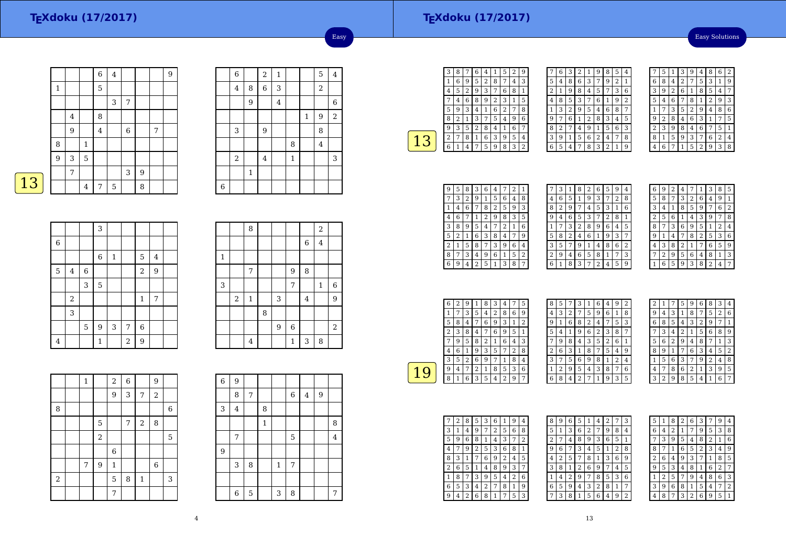Easy Solutions

|   |   |                |                | $\overline{6}$ | $\overline{4}$ |             |                |   | 9 |
|---|---|----------------|----------------|----------------|----------------|-------------|----------------|---|---|
|   | 1 |                |                | 5              |                |             |                |   |   |
|   |   |                |                |                | 3              | 7           |                |   |   |
|   |   | $\overline{4}$ |                | 8              |                |             |                |   |   |
|   |   | 9              |                | $\overline{4}$ |                | $\,$ 6 $\,$ |                | 7 |   |
|   | 8 |                | $\,1$          |                |                |             |                |   |   |
|   | 9 | 3              | 5              |                |                |             |                |   |   |
|   |   | 7              |                |                |                | 3           | $\overline{9}$ |   |   |
| 3 |   |                | $\overline{4}$ | 7              | 5              |             | 8              |   |   |

|                | $\overline{6}$ |                | $\overline{c}$ | $\mathbf 1$             |              |              | 5              | $\overline{4}$ |
|----------------|----------------|----------------|----------------|-------------------------|--------------|--------------|----------------|----------------|
|                | $\overline{4}$ | 8              | $\overline{6}$ | 3                       |              |              | $\sqrt{2}$     |                |
|                |                | $\overline{9}$ |                | $\overline{\mathbf{4}}$ |              |              |                | $\,6$          |
|                |                |                |                |                         |              | $\mathbf{1}$ | 9              | $\,2$          |
|                | 3              |                | 9              |                         |              |              | 8              |                |
|                |                |                |                |                         | 8            |              | $\overline{4}$ |                |
|                | $\,2$          |                | $\overline{4}$ |                         | $\mathbf{1}$ |              |                | 3              |
|                |                | $\mathbf{1}$   |                |                         |              |              |                |                |
| $\overline{6}$ |                |                |                |                         |              |              |                |                |

Easy

|--|

|                |                |   | 3           |              |                |                |         |  |
|----------------|----------------|---|-------------|--------------|----------------|----------------|---------|--|
| $\,$ 6 $\,$    |                |   |             |              |                |                |         |  |
|                |                |   | $\,$ 6 $\,$ | $\mathbf{1}$ |                | 5              | $\bf 4$ |  |
| $\overline{5}$ | $\overline{4}$ | 6 |             |              |                | $\overline{a}$ | 9       |  |
|                |                | 3 | 5           |              |                |                |         |  |
|                | $\,2$          |   |             |              |                | $\mathbf 1$    | 7       |  |
|                | 3              |   |             |              |                |                |         |  |
|                |                | 5 | 9           | 3            | 7              | $\overline{6}$ |         |  |
| $\bf 4$        |                |   | $\mathbf 1$ |              | $\overline{a}$ | 9              |         |  |

|              |                | 8              |   |   |                |                         | $\overline{2}$ |   |
|--------------|----------------|----------------|---|---|----------------|-------------------------|----------------|---|
|              |                |                |   |   |                | $\,$ 6 $\,$             | $\bf 4$        |   |
| $\mathbf{1}$ |                |                |   |   |                |                         |                |   |
|              |                | $\overline{7}$ |   |   | 9              | 8                       |                |   |
| 3            |                |                |   |   | $\overline{7}$ |                         | $\mathbf{1}$   | 6 |
|              | $\overline{c}$ | $\mathbf{1}$   |   | 3 |                | $\overline{\mathbf{4}}$ |                | 9 |
|              |                |                | 8 |   |                |                         |                |   |
|              |                |                |   | 9 | $\overline{6}$ |                         |                | 2 |
|              |                | $\overline{4}$ |   |   | $\mathbf 1$    | 3                       | 8              |   |

|                | $\mathbf 1$ |                | $\overline{c}$ | $\overline{6}$ |              | 9                       |   |
|----------------|-------------|----------------|----------------|----------------|--------------|-------------------------|---|
|                |             |                | 9              | 3              | 7            | $\overline{\mathbf{c}}$ |   |
| 8              |             |                |                |                |              |                         | 6 |
|                |             | 5              |                | 7              | $\sqrt{2}$   | 8                       |   |
|                |             | $\overline{a}$ |                |                |              |                         | 5 |
|                |             |                | 6              |                |              |                         |   |
|                | 7           | 9              | $\,1\,$        |                |              | 6                       |   |
| $\overline{2}$ |             |                | 5              | 8              | $\mathbf{1}$ |                         | 3 |
|                |             |                | 7              |                |              |                         |   |

| 6 | 9        |             |   |              |             |         |   |                         |
|---|----------|-------------|---|--------------|-------------|---------|---|-------------------------|
|   | 8        | 7           |   |              | $\,$ 6 $\,$ | $\bf 4$ | 9 |                         |
| 3 | $\bf{4}$ |             | 8 |              |             |         |   |                         |
|   |          |             | 1 |              |             |         |   | 8                       |
|   | 7        |             |   |              | 5           |         |   | $\overline{\mathbf{4}}$ |
| 9 |          |             |   |              |             |         |   |                         |
|   | 3        | 8           |   | $\mathbf{1}$ | 7           |         |   |                         |
|   |          |             |   |              |             |         |   |                         |
|   | 6        | $\mathbf 5$ |   | 3            | 8           |         |   | 7                       |

÷

| З | 8 | 7            | 6              | 4 | 1 | 5 | 2 | g |
|---|---|--------------|----------------|---|---|---|---|---|
| 1 | 6 | 9            | 5              | 2 | 8 | 7 | 4 | 3 |
| 4 | 5 | 2            | g              | 3 | 7 | 6 | 8 | 1 |
|   | 4 | 6            | 8              | 9 | 2 | 3 | 1 | 5 |
| 5 | 9 | 3            | $\overline{4}$ | 1 | 6 | 2 | 7 | 8 |
| 8 | 2 | $\mathbf{1}$ | 3              | 7 | 5 | 4 | 9 | 6 |
| 9 | 3 | 5            | 2              | 8 | 4 | 1 | 6 | 7 |
| 2 | 7 | 8            | 1              | 6 | 3 | 9 | 5 | 4 |
| 6 | 1 | 4            |                | 5 | 9 | 8 | 3 | 2 |
|   |   |              |                |   |   |   |   |   |

|                | 6 | 3 | 2 | $\mathbf{1}$ | 9 | 8              | 5              | 4              |
|----------------|---|---|---|--------------|---|----------------|----------------|----------------|
| 5              | 4 | 8 | 6 | 3            | 7 | 9              | $\overline{2}$ | 1              |
| $\overline{c}$ | 1 | 9 | 8 | 4            | 5 | 7              | 3              | 6              |
| 4              | 8 | 5 | 3 | 7            | 6 | 1              | 9              | $\overline{2}$ |
| 1              | 3 | 2 | 9 | 5            | 4 | 6              | 8              | 7              |
| 9              | 7 | 6 | 1 | 2            | 8 | 3              | 4              | 5              |
| 8              | 2 |   | 4 | 9            | 1 | 5              | 6              | 3              |
| 3              | 9 | 1 | 5 | 6            | 2 | 4              | 7              | 8              |
| 6              | 5 | 4 |   | 8            | 3 | $\overline{2}$ |                | 9              |

|   | 5 | 1 | 3 | 9 | 4              | 8              | 6              | 2 |
|---|---|---|---|---|----------------|----------------|----------------|---|
| 6 | 8 | 4 | 2 | 7 | 5              | 3              | $\mathbf{1}$   | 9 |
| 3 | 9 | 2 | 6 | 1 | 8              | 5              | 4              | 7 |
| 5 | 4 | 6 | 7 | 8 | 1              | $\overline{c}$ | 9              | 3 |
| 1 | 7 | 3 | 5 | 2 | 9              | 4              | 8              | 6 |
| 9 | 2 | 8 | 4 | 6 | 3              | 1              | 7              | 5 |
| 2 | 3 | 9 | 8 | 4 | 6              |                | 5              | 1 |
| 8 | 1 | 5 | 9 | 3 | 7              | 6              | $\overline{2}$ | 4 |
|   | 6 | 7 | 1 | 5 | $\overline{2}$ | g              | 3              | 8 |

| 9 | 5 | 8 | 3 | 6              | 4 |                | 2 | 1 |
|---|---|---|---|----------------|---|----------------|---|---|
|   | 3 | 2 | 9 | 1              | 5 | 6              | 4 | 8 |
| 1 | 4 | 6 | 7 | 8              | 2 | 5              | 9 | 3 |
| 4 | 6 | 7 | 1 | $\overline{2}$ | 9 | 8              | 3 | 5 |
| 3 | 8 | 9 | 5 | 4              | 7 | $\overline{2}$ | 1 | 6 |
| 5 | 2 | 1 | 6 | 3              | 8 | 4              | 7 | 9 |
| 2 | 1 | 5 | 8 | 7              | 3 | 9              | 6 | 4 |
| 8 | 7 | 3 | 4 | 9              | 6 | 1              | 5 | 2 |
| 6 | 9 | 4 | 2 | 5              | 1 | 3              | 8 | 7 |

|   | 3 | 1 | 8 | 2 | 6 | 5              | 9 | 4              |
|---|---|---|---|---|---|----------------|---|----------------|
| 4 | 6 | 5 | 1 | 9 | 3 | 7              | 2 | 8              |
| 8 | 2 | 9 | 7 | 4 | 5 | 3              | 1 | 6              |
| 9 | 4 | 6 | 5 | 3 |   | $\overline{c}$ | 8 | 1              |
|   | 7 | 3 | 2 | 8 | 9 | 6              | 4 | 5              |
| 5 | 8 | 2 | 4 | 6 | 1 | 9              | 3 | 7              |
| 3 | 5 | 7 | 9 | 1 | 4 | 8              | 6 | $\overline{2}$ |
| 2 | 9 | 4 | 6 | 5 | 8 | 1              | 7 | 3              |
| 6 | 1 | 8 | 3 | 7 | 2 | $\overline{4}$ | 5 | 9              |
|   |   |   |   |   |   |                |   |                |

| 6 | 9 | 2 | 4 | 7 | 1 | 3              | 8 | 5 |
|---|---|---|---|---|---|----------------|---|---|
| 5 | 8 | 7 | 3 | 2 | 6 | 4              | 9 | 1 |
| 3 | 4 | 1 | 8 | 5 | 9 | 7              | 6 | 2 |
| 2 | 5 | 6 | 1 | 4 | 3 | 9              | 7 | 8 |
| 8 | 7 | 3 | 6 | 9 | 5 | 1              | 2 | 4 |
| 9 | 1 | 4 | 7 | 8 | 2 | 5              | 3 | 6 |
| 4 | 3 | 8 | 2 | 1 | 7 | 6              | 5 | 9 |
|   | 2 | 9 | 5 | 6 | 4 | 8              | 1 | 3 |
|   | 6 | 5 | 9 | 3 | 8 | $\overline{2}$ | 4 |   |

|   | 6 | 2 | 9 |   | 8 | 3 | 4 |   | 5 |  |
|---|---|---|---|---|---|---|---|---|---|--|
|   |   | 7 | 3 | 5 | 4 | 2 | 8 | 6 | 9 |  |
|   | 5 | 8 | 4 |   | 6 | 9 | 3 | 1 | 2 |  |
|   | 2 | 3 | 8 | 4 | 7 | 6 | 9 | 5 | 1 |  |
|   |   | 9 | 5 | 8 | 2 | 1 | 6 | 4 | 3 |  |
|   | 4 | 6 | 1 | 9 | 3 | 5 | 7 | 2 | 8 |  |
|   | 3 | 5 | 2 | 6 | 9 |   |   | 8 | 4 |  |
| u | 9 | 4 |   | 2 | 1 | 8 | 5 | 3 | 6 |  |
|   | 8 |   | 6 | 3 | 5 | 4 | 2 | 9 | 7 |  |

| 8 | 5 | 7            | 3 | 1 | 6 | 4              | 9 | 2 |  |
|---|---|--------------|---|---|---|----------------|---|---|--|
| 4 | 3 | 2            | 7 | 5 | 9 | 6              | 1 | 8 |  |
| g |   | 6            | 8 | 2 | 4 |                | 5 | 3 |  |
| 5 | 4 | $\mathbf{1}$ | 9 | 6 | 2 | 3              | 8 | 7 |  |
|   | 9 | 8            | 4 | 3 | 5 | $\overline{2}$ | 6 | 1 |  |
| 2 | 6 | 3            | 1 | 8 | 7 | 5              | 4 | 9 |  |
| 3 | 7 | 5            | 6 | 9 | 8 | 1              | 2 | 4 |  |
| 1 | 2 | 9            | 5 | 4 | 3 | 8              | 7 | 6 |  |
| 6 | 8 | 4            | 2 | 7 | 1 | 9              | 3 | 5 |  |

| 2              | 1 |   | 5              | g | 6 | 8 | 3 | 4 |
|----------------|---|---|----------------|---|---|---|---|---|
| 9              | 4 | 3 | 1              | 8 | 7 | 5 | 2 | 6 |
| 6              | 8 | 5 | 4              | 3 | 2 | 9 | 7 | 1 |
| 7              | 3 | 4 | $\overline{c}$ | 1 | 5 | 6 | 8 | 9 |
| 5              | 6 | 2 | 9              | 4 | 8 |   | 1 | 3 |
| 8              | 9 | 1 | 7              | 6 | 3 | 4 | 5 | 2 |
| 1              | 5 | 6 | 3              | 7 | 9 | 2 | 4 | 8 |
| $\overline{4}$ | 7 | 8 | 6              | 2 | 1 | 3 | 9 | 5 |
|                | 2 | 9 | 8              | 5 | 4 | 1 | 6 | 7 |

|   | 2 | 8 | 5 | 3 | 6 |   | 9 | 4 |
|---|---|---|---|---|---|---|---|---|
| 3 | 1 | 4 | 9 | 7 | 2 | 5 | 6 | 8 |
| 5 | 9 | 6 | 8 | 1 | 4 | 3 | 7 | 2 |
| 4 | 7 | 9 | 2 | 5 | 3 | 6 | 8 | 1 |
| 8 | 3 | 1 | 7 | 6 | 9 | 2 | 4 | 5 |
| 2 | 6 | 5 | 1 | 4 | 8 | 9 | 3 |   |
| 1 | 8 | 7 | 3 | 9 | 5 | 4 | 2 | 6 |
| 6 | 5 | 3 | 4 | 2 | 7 | 8 | 1 | 9 |
| q | 4 | 2 | 6 | 8 | 1 |   | 5 | 3 |

| 8 | 9 | 6 | 5 |   | 4 | 2            |   | 3 |
|---|---|---|---|---|---|--------------|---|---|
| 5 | 1 | 3 | 6 | 2 | 7 | 9            | 8 | 4 |
| 2 | 7 | 4 | 8 | 9 | 3 | 6            | 5 | 1 |
| g | 6 |   | 3 | 4 | 5 | $\mathbf{1}$ | 2 | 8 |
| 4 | 2 | 5 | 7 | 8 | 1 | 3            | 6 | 9 |
| 3 | 8 | 1 | 2 | 6 | 9 | 7            | 4 | 5 |
| 1 | 4 | 2 | 9 | 7 | 8 | 5            | 3 | 6 |
| 6 | 5 | 9 | 4 | 3 | 2 | 8            | 1 | 7 |
|   | 3 | 8 | 1 | 5 | 6 | 4            | 9 | 2 |

| 5              | 1 | 8              | 2 | 6 | 3 |                | 9 | 4 |
|----------------|---|----------------|---|---|---|----------------|---|---|
| 6              | 4 | $\overline{2}$ | 1 | 7 | 9 | 5              | 3 | 8 |
|                | 3 | 9              | 5 | 4 | 8 | $\overline{2}$ | 1 | 6 |
| 8              |   | 1              | 6 | 5 | 2 | 3              | 4 | 9 |
| $\overline{c}$ | 6 | 4              | 9 | 3 | 7 | 1              | 8 | 5 |
| 9              | 5 | 3              | 4 | 8 | 1 | 6              | 2 | 7 |
| 1              | 2 | 5              | 7 | 9 | 4 | 8              | 6 | 3 |
| 3              | 9 | 6              | 8 | 1 | 5 | 4              | 7 | 2 |
| 4              | 8 | 7              | 3 | 2 | 6 | 9              | 5 | 1 |
|                |   |                |   |   |   |                |   |   |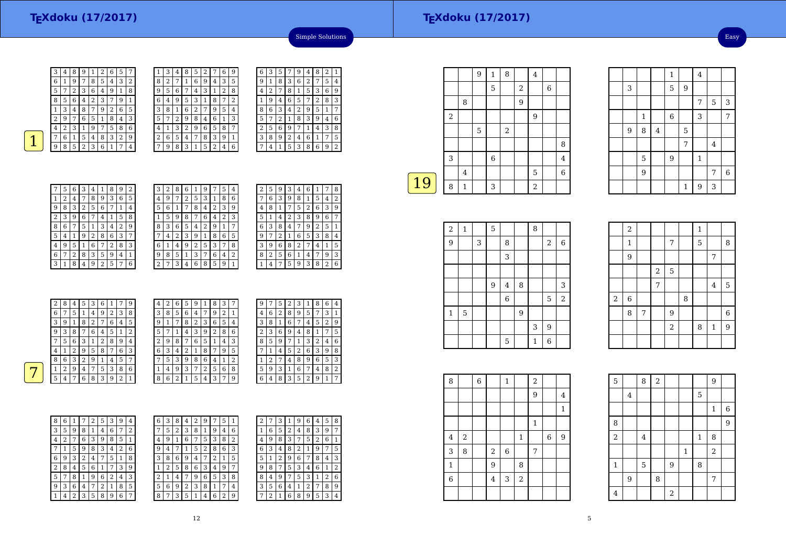Easy

 $\frac{7}{5}$  3

 $\begin{array}{c|c}\n4 \\
1\n\end{array}$ 

 $\begin{array}{c|c} 7 & 6 \\ \hline 3 & \end{array}$ 

 $\frac{1}{\sqrt{4}}$ 

 $\begin{array}{|c|c|c|c|c|c|c|c|} \hline 1 & 6 & 3 & 7 \\ \hline \end{array}$ 

 <sup>5</sup> 7

5 9 1

 $9 \hspace{1.5cm} 7$ 

1<sup>9</sup> <sup>3</sup>

3

9

1

5

9

<sup>8</sup> <sup>4</sup>

3 | 5 | 9



|   | 3 | 4                       | 8 | 5 | 2 |   | 6 | 9              |
|---|---|-------------------------|---|---|---|---|---|----------------|
| 8 | 2 | 7                       | 1 | 6 | 9 | 4 | 3 | 5              |
| 9 | 5 | 6                       | 7 | 4 | 3 | 1 | 2 | 8              |
| 6 | 4 | 9                       | 5 | 3 | 1 | 8 | 7 | $\overline{2}$ |
| 3 | 8 | 1                       | 6 | 2 | 7 | 9 | 5 | 4              |
| 5 | 7 | $\overline{\mathbf{c}}$ | 9 | 8 | 4 | 6 | 1 | 3              |
| 4 | 1 | 3                       | 2 | 9 | 6 | 5 | 8 | 7              |
| 2 | 6 | 5                       | 4 | 7 | 8 | 3 | 9 | 1              |
|   | 9 | 8                       | 3 |   | 5 | 2 | 4 | 6              |

| 9              | 6 | З              | 5 |   | 9 | 4 | 8 | 2 | 1 |
|----------------|---|----------------|---|---|---|---|---|---|---|
| 5              | 9 | 1              | 8 | 3 | 6 | 2 | 7 | 5 | 4 |
| 8              | 4 | $\overline{2}$ | 7 | 8 | 1 | 5 | 3 | 6 | 9 |
| $\overline{2}$ |   | 9              | 4 | 6 | 5 | 7 | 2 | 8 | 3 |
| 4              | 8 | 6              | 3 | 4 | 2 | 9 | 5 | 1 | 7 |
| 3              | 5 | 7              | 2 | 1 | 8 | 3 | 9 | 4 | 6 |
| 7              | 2 | 5              | 6 | 9 | 7 | 1 | 4 | 3 | 8 |
| 1              | 3 | 8              | 9 | 2 | 4 | 6 | 1 | 7 | 5 |
| 6              |   | 4              |   | 5 | 3 | 8 | 6 | 9 | 2 |
|                |   |                |   |   |   |   |   |   |   |

Simple Solutions

|   | 5 | 6              | 3              | 4 | 1              | 8              | 9 | $\overline{2}$ |
|---|---|----------------|----------------|---|----------------|----------------|---|----------------|
| 1 | 2 | 4              | 7              | 8 | 9              | 3              | 6 | 5              |
| 9 | 8 | 3              | $\overline{c}$ | 5 | 6              | 7              | 1 | 4              |
| 2 | 3 | 9              | 6              | 7 | 4              | 1              | 5 | 8              |
| 8 | 6 | 7              | 5              | 1 | 3              | 4              | 2 | 9              |
| 5 | 4 | 1              | 9              | 2 | 8              | 6              | 3 | 7              |
| 4 | 9 | 5              | 1              | 6 | 7              | $\overline{2}$ | 8 | 3              |
| 6 | 7 | $\overline{2}$ | 8              | 3 | 5              | 9              | 4 | 1              |
| 3 | 1 | 8              | 4              | 9 | $\overline{2}$ | 5              | 7 | 6              |

| 3 | 2 | 8 | 6 | 1 | 9 | 7 | 5 | 4 |  |
|---|---|---|---|---|---|---|---|---|--|
| 4 | 9 | 7 | 2 | 5 | 3 | 1 | 8 | 6 |  |
| 5 | 6 | 1 | 7 | 8 | 4 | 2 | 3 | 9 |  |
| 1 | 5 | 9 | 8 | 7 | 6 | 4 | 2 | 3 |  |
| 8 | 3 | 6 | 5 | 4 | 2 | 9 | 1 | 7 |  |
| 7 | 4 | 2 | 3 | 9 | 1 | 8 | 6 | 5 |  |
| 6 | 1 | 4 | 9 | 2 | 5 | 3 |   | 8 |  |
| 9 | 8 | 5 | 1 | 3 | 7 | 6 | 4 | 2 |  |
| 2 | 7 | 3 | 4 | 6 | 8 | 5 | 9 | 1 |  |

| 2 | 5 | 9              | 3 | 4 | 6              | 1 |                | 8              |
|---|---|----------------|---|---|----------------|---|----------------|----------------|
|   | 6 | 3              | 9 | 8 | 1              | 5 | 4              | $\overline{2}$ |
| 4 | 8 | 1              |   | 5 | $\overline{c}$ | 6 | 3              | 9              |
| 5 |   | $\overline{4}$ | 2 | 3 | 8              | 9 | 6              |                |
| 6 | 3 | 8              | 4 | 7 | 9              | 2 | 5              | 1              |
| 9 |   | 2              | 1 | 6 | 5              | 3 | 8              | 4              |
| 3 | 9 | 6              | 8 | 2 | 7              | 4 | 1              | 5              |
| 8 | 2 | 5              | 6 | 1 | 4              | 7 | 9              | 3              |
|   | 4 | 7              | 5 | 9 | 3              | 8 | $\overline{2}$ | 6              |

| 2 | 8 | 4              | 5 | 3      | 6 | -1 | 7 | 9              | 4 | 2 | 6              | 5 | 9 | 1 | 8              | 3 | 7 |  |
|---|---|----------------|---|--------|---|----|---|----------------|---|---|----------------|---|---|---|----------------|---|---|--|
| 6 | 7 | 5              |   | 4      | 9 | 2  | 3 | 8              | 3 | 8 | 5              | 6 | 4 | 7 | 9              | 2 | 1 |  |
| 3 | 9 |                | 8 | ר<br>∠ | 7 | 6  | 4 | 5              | 9 |   | 7              | 8 | 2 | 3 | 6              | 5 | 4 |  |
| 9 | 3 | 8              | 7 | 6      | 4 | 5  |   | $\overline{2}$ | 5 | 7 |                | 4 | 3 | 9 | $\overline{2}$ | 8 | 6 |  |
| 7 | 5 | 6              | 3 |        | 2 | 8  | 9 | 4              | 2 | 9 | 8              | 7 | 6 | 5 | 1              | 4 | 3 |  |
| 4 |   | $\overline{2}$ | 9 | 5      | 8 | 7  | 6 | 3              | 6 | 3 | 4              | 2 | 1 | 8 | 7              | 9 | 5 |  |
| 8 | 6 | 3              | 2 | 9      |   | 4  | 5 | 7              | 7 | 5 | 3              | 9 | 8 | 6 | 4              | 1 | 2 |  |
|   | 2 | 9              | 4 | 7      | 5 | 3  | 8 | 6              | 1 | 4 | 9              | 3 | 7 | 2 | 5              | 6 | 8 |  |
| 5 | 4 | ⇁              | 6 | 8      | 3 | 9  | 2 |                | 8 | 6 | $\overline{2}$ |   | 5 | 4 | 3              | 7 | 9 |  |
|   |   |                |   |        |   |    |   |                |   |   |                |   |   |   |                |   |   |  |

 $\sqrt{6}$ 

| 9 | 7 | 5 | 2 | 3                       | 1 | 8 | 6 | 4 |
|---|---|---|---|-------------------------|---|---|---|---|
| 4 | 6 | 2 | 8 | 9                       | 5 | 7 | 3 | 1 |
| 3 | 8 | 1 | 6 | 7                       | 4 | 5 | 2 | 9 |
| 2 | 3 | 6 | 9 | 4                       | 8 | 1 | 7 | 5 |
| 8 | 5 | 9 |   | $\mathbf{1}$            | 3 | 2 | 4 | 6 |
|   | 1 | 4 | 5 | $\overline{\mathbf{c}}$ | 6 | 3 | 9 | 8 |
| 1 | 2 | 7 | 4 | 8                       | 9 | 6 | 5 | 3 |
| 5 | 9 | 3 | 1 | 6                       | 7 | 4 | 8 | 2 |
| 6 | 4 | 8 | 3 | 5                       | 2 | 9 | 1 | 7 |

 $6 \mid 1 \mid 2$ 

 $1 \mid 2 \mid 6$ 

7 8 9

 $\sqrt{5}$  3 4

| 8 | 6 | 1              | 7 | 2 | 5 | 3              | 9 | 4 |
|---|---|----------------|---|---|---|----------------|---|---|
| 3 | 5 | 9              | 8 | 1 | 4 | 6              | 7 | 2 |
| 4 | 2 | 7              | 6 | 3 | 9 | 8              | 5 | 1 |
|   | 1 | 5              | 9 | 8 | 3 | 4              | 2 | 6 |
| 6 | 9 | 3              | 2 | 4 | 7 | 5              | 1 | 8 |
| 2 | 8 | 4              | 5 | 6 | 1 | 7              | 3 | 9 |
| 5 | 7 | 8              | 1 | 9 | 6 | $\overline{2}$ | 4 | 3 |
| 9 | 3 | 6              | 4 | 7 | 2 | 1              | 8 | 5 |
|   | 4 | $\overline{2}$ | 3 | 5 | 8 | 9              | 6 | 7 |

| 6              | 3 | 8              | 4 | 2 | 9 |        | 5 |   | 2 |          | З      |        | 9 | 6 | 4 | 5 | 8 |
|----------------|---|----------------|---|---|---|--------|---|---|---|----------|--------|--------|---|---|---|---|---|
| 7              | 5 | $\overline{2}$ | 3 | 8 | 1 | 9      | 4 | 6 | 1 | 6        | 5      | ∍<br>∠ | 4 | 8 | 3 | 9 | 7 |
| 4              | 9 | 1              | 6 | 7 | 5 | 3      | 8 | 2 | 4 | 9        | 8      | 3      | 7 | 5 | 2 | 6 | 1 |
| 9              | 4 |                | ı | 5 | 2 | 8      | 6 | 3 | 6 | 3        | 4      | 8      | 2 | 1 | 9 | 7 | 5 |
| 3              | 8 | 6              | 9 | 4 | 7 | າ<br>∠ | 1 | 5 | 5 |          | າ<br>∠ | 9      | 6 | 7 | 8 | 4 | 3 |
| $\overline{1}$ | 2 | 5              | 8 | 6 | 3 | 4      | 9 | 7 | 9 | 8        | 7      | 5      | 3 | 4 | 6 | 1 | 2 |
| 2              |   | 4              |   | 9 | 6 | 5      | 3 | 8 | 8 | 4        | 9      |        | 5 | 3 | 1 | 2 | 6 |
| 5              | 6 | 9              | 2 | 3 | 8 |        | 7 | 4 | 3 | 5        | 6      | 4      | 1 | 2 | 7 | 8 | g |
| 8              | 7 | 3              | 5 |   | 4 | 6      | 2 | 9 | ⇁ | $\Omega$ |        | 6      | 8 | 9 | 5 | 3 | 4 |
|                |   |                |   |   |   |        |   |   |   |          |        |        |   |   |   |   |   |

|    |       |                | 9 | $\mathbf{1}$ | 8 |                | $\bf 4$     |   |                |
|----|-------|----------------|---|--------------|---|----------------|-------------|---|----------------|
|    |       |                |   | 5            |   | $\overline{2}$ |             | 6 |                |
|    |       | 8              |   |              |   | 9              |             |   |                |
|    | $\,2$ |                |   |              |   |                | 9           |   |                |
|    |       |                | 5 |              | 2 |                |             |   |                |
|    |       |                |   |              |   |                |             |   | 8              |
|    | 3     |                |   | 6            |   |                |             |   | $\overline{4}$ |
|    |       | $\overline{4}$ |   |              |   |                | $\mathbf 5$ |   | 6              |
| 19 | 8     | $\mathbf{1}$   |   | 3            |   |                | $\,2$       |   |                |
|    |       |                |   |              |   |                |             |   |                |

| $\overline{a}$ | $\mathbf 1$ |   | 5 |             |   | 8            |                |                |
|----------------|-------------|---|---|-------------|---|--------------|----------------|----------------|
| 9              |             | 3 |   | 8           |   |              | $\overline{2}$ | 6              |
|                |             |   |   | 3           |   |              |                |                |
|                |             |   |   |             |   |              |                |                |
|                |             |   | 9 | $\bf 4$     | 8 |              |                | 3              |
|                |             |   |   | $\,$ 6 $\,$ |   |              | $\mathbf 5$    | $\overline{2}$ |
| $\,1\,$        | 5           |   |   |             | 9 |              |                |                |
|                |             |   |   |             |   | 3            | 9              |                |
|                |             |   |   | 5           |   | $\mathbf{1}$ | $\,$ 6 $\,$    |                |

|                  | $\sqrt{2}$     |   |                |             |   | $\mathbf{1}$ |                |                |
|------------------|----------------|---|----------------|-------------|---|--------------|----------------|----------------|
|                  | $\mathbf{1}$   |   |                | 7           |   | 5            |                | 8              |
|                  | 9              |   |                |             |   |              | 7              |                |
|                  |                |   | $\overline{c}$ | $\mathbf 5$ |   |              |                |                |
|                  |                |   | 7              |             |   |              | $\overline{4}$ | 5              |
| $\boldsymbol{2}$ | $\overline{6}$ |   |                |             | 8 |              |                |                |
|                  | 8              | 7 |                | 9           |   |              |                | $\overline{6}$ |
|                  |                |   |                | $\,2$       |   | 8            | $\,1\,$        | 9              |
|                  |                |   |                |             |   |              |                |                |

| 8            |       | $\overline{6}$ |                | 1       |              | $\overline{a}$ |             |             |  |
|--------------|-------|----------------|----------------|---------|--------------|----------------|-------------|-------------|--|
|              |       |                |                |         |              | 9              |             | 4           |  |
|              |       |                |                |         |              |                |             | $\mathbf 1$ |  |
|              |       |                |                |         |              | $\mathbf{1}$   |             |             |  |
| $\bf 4$      | $\,2$ |                |                |         | $\mathbf{1}$ |                | $\,$ 6 $\,$ | 9           |  |
| 3            | 8     |                | $\overline{2}$ | $\,6\,$ |              | 7              |             |             |  |
| $\mathbf{1}$ |       |                | 9              |         | 8            |                |             |             |  |
| 6            |       |                | $\overline{4}$ | 3       | $\sqrt{2}$   |                |             |             |  |
|              |       |                |                |         |              |                |             |             |  |

| 5              |         | 8 | $\overline{a}$ |            |             |              | $\overline{9}$ |                |  |
|----------------|---------|---|----------------|------------|-------------|--------------|----------------|----------------|--|
|                | $\bf 4$ |   |                |            |             | 5            |                |                |  |
|                |         |   |                |            |             |              | $\mathbf{1}$   | 6              |  |
| 8              |         |   |                |            |             |              |                | $\overline{9}$ |  |
| $\overline{a}$ |         | 4 |                |            |             | $\mathbf{1}$ | 8              |                |  |
|                |         |   |                |            | $\mathbf 1$ |              | $\overline{a}$ |                |  |
| $\mathbf{1}$   |         | 5 |                | 9          |             | 8            |                |                |  |
|                | 9       |   | 8              |            |             |              | 7              |                |  |
| 4              |         |   |                | $\sqrt{2}$ |             |              |                |                |  |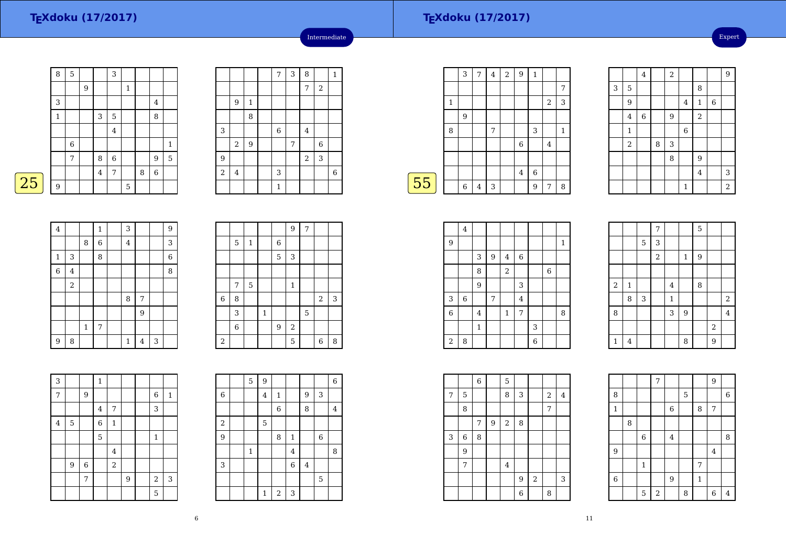Expert

|   | 8 | 5 |   |                | 3              |             |   |                  |       |
|---|---|---|---|----------------|----------------|-------------|---|------------------|-------|
|   |   |   | 9 |                |                | 1           |   |                  |       |
|   | 3 |   |   |                |                |             |   | 4                |       |
|   | 1 |   |   | 3              | 5              |             |   | 8                |       |
|   |   |   |   |                | $\overline{4}$ |             |   |                  |       |
|   |   | 6 |   |                |                |             |   |                  | $1\,$ |
|   |   | 7 |   | 8              | $\,$ 6 $\,$    |             |   | 9                | 5     |
|   |   |   |   | $\overline{4}$ | 7              |             | 8 | $\boldsymbol{6}$ |       |
| 5 | 9 |   |   |                |                | $\mathbf 5$ |   |                  |       |

|       |         |              | $\overline{7}$ | $\mathsf 3$ | 8              |            | $\mathbf{1}$   |
|-------|---------|--------------|----------------|-------------|----------------|------------|----------------|
|       |         |              |                |             | 7              | $\sqrt{2}$ |                |
|       | 9       | $\mathbf{1}$ |                |             |                |            |                |
|       |         | 8            |                |             |                |            |                |
| 3     |         |              | 6              |             | $\overline{4}$ |            |                |
|       | $\,2$   | 9            |                | 7           |                | $\,6$      |                |
| 9     |         |              |                |             | $\sqrt{2}$     | 3          |                |
| $\,2$ | $\bf 4$ |              | 3              |             |                |            | $\overline{6}$ |
|       |         |              | $\mathbf 1$    |             |                |            |                |

Intermediate

|    |              | 3 | 7              | $\overline{4}$ | $\sqrt{2}$ | 9           | $\mathbf{1}$ |                |   |
|----|--------------|---|----------------|----------------|------------|-------------|--------------|----------------|---|
|    |              |   |                |                |            |             |              |                | 7 |
|    | $\mathbf{1}$ |   |                |                |            |             |              | $\overline{2}$ | 3 |
|    |              | 9 |                |                |            |             |              |                |   |
|    | 8            |   |                | 7              |            |             | 3            |                | 1 |
|    |              |   |                |                |            | $\,$ 6 $\,$ |              | 4              |   |
|    |              |   |                |                |            |             |              |                |   |
|    |              |   |                |                |            | $\bf 4$     | 6            |                |   |
| 55 |              | 6 | $\overline{4}$ | 3              |            |             | 9            | 7              | 8 |
|    |              |   |                |                |            |             |              |                |   |

|   |                         | $\bf 4$     |   | $\overline{2}$ |              |                |       | 9              |
|---|-------------------------|-------------|---|----------------|--------------|----------------|-------|----------------|
| 3 | $\mathbf 5$             |             |   |                |              | 8              |       |                |
|   | 9                       |             |   |                | $\bf 4$      | $\mathbf 1$    | $\,6$ |                |
|   | $\overline{\mathbf{4}}$ | $\,$ 6 $\,$ |   | 9              |              | $\overline{2}$ |       |                |
|   | $\mathbf 1$             |             |   |                | $\,$ 6 $\,$  |                |       |                |
|   | $\,2$                   |             | 8 | 3              |              |                |       |                |
|   |                         |             |   | 8              |              | 9              |       |                |
|   |                         |             |   |                |              | $\overline{4}$ |       | 3              |
|   |                         |             |   |                | $\mathbf{1}$ |                |       | $\overline{a}$ |

| 4              |         |       | 1 | 3            |                |   | 9              |
|----------------|---------|-------|---|--------------|----------------|---|----------------|
|                |         | 8     | 6 | $\bf 4$      |                |   | 3              |
| $\mathbf 1$    | 3       |       | 8 |              |                |   | $\overline{6}$ |
| $\overline{6}$ | $\bf 4$ |       |   |              |                |   | 8              |
|                | $\,2$   |       |   |              |                |   |                |
|                |         |       |   | 8            | 7              |   |                |
|                |         |       |   |              | 9              |   |                |
|                |         | $\,1$ | 7 |              |                |   |                |
| $\overline{9}$ | 8       |       |   | $\mathbf{1}$ | $\overline{4}$ | 3 |                |

|             |                |             |              |             | $\overline{9}$            | $\overline{7}$ |            |   |
|-------------|----------------|-------------|--------------|-------------|---------------------------|----------------|------------|---|
|             | 5              | $\,1\,$     |              | $\,$ 6 $\,$ |                           |                |            |   |
|             |                |             |              | 5           | $\ensuremath{\mathsf{3}}$ |                |            |   |
|             |                |             |              |             |                           |                |            |   |
|             | 7              | $\mathbf 5$ |              |             | $\mathbf 1$               |                |            |   |
| $\,$ 6 $\,$ | 8              |             |              |             |                           |                | $\sqrt{2}$ | 3 |
|             | 3              |             | $\mathbf{1}$ |             |                           | 5              |            |   |
|             | $\overline{6}$ |             |              | 9           | $\sqrt{2}$                |                |            |   |
| $\,2$       |                |             |              |             | 5                         |                | 6          | 8 |

| 3              |   |   | $\,1\,$        |                |   |                |              |
|----------------|---|---|----------------|----------------|---|----------------|--------------|
| 7              |   | 9 |                |                |   | 6              | $\mathbf{1}$ |
|                |   |   | $\overline{4}$ | 7              |   | 3              |              |
| $\overline{4}$ | 5 |   | 6              | $\mathbf{1}$   |   |                |              |
|                |   |   | 5              |                |   | 1              |              |
|                |   |   |                | 4              |   |                |              |
|                | 9 | 6 |                | $\overline{2}$ |   |                |              |
|                |   | 7 |                |                | 9 | $\overline{2}$ | 3            |
|                |   |   |                |                |   | 5              |              |

|                           | 5            | 9           |                |                |         |             | 6                       |
|---------------------------|--------------|-------------|----------------|----------------|---------|-------------|-------------------------|
| $\,6$                     |              | 4           | $\mathbf{1}$   |                | 9       | 3           |                         |
|                           |              |             | $\overline{6}$ |                | 8       |             | $\overline{\mathbf{4}}$ |
| $\,2$                     |              | 5           |                |                |         |             |                         |
| $\boldsymbol{9}$          |              |             | 8              | $\,1\,$        |         | $\,$ 6 $\,$ |                         |
|                           | $\mathbf{1}$ |             |                | $\bf 4$        |         |             | 8                       |
| $\ensuremath{\mathsf{3}}$ |              |             |                | $\overline{6}$ | $\bf 4$ |             |                         |
|                           |              |             |                |                |         | 5           |                         |
|                           |              | $\mathbf 1$ | $\,2$          | 3              |         |             |                         |

 $\overline{\phantom{0}}$ 

|                | $\overline{\mathbf{4}}$ |                |                  |                |                |                |                |              |
|----------------|-------------------------|----------------|------------------|----------------|----------------|----------------|----------------|--------------|
| 9              |                         |                |                  |                |                |                |                | $\mathbf{1}$ |
|                |                         | 3              | $\boldsymbol{9}$ | 4              | $\,6\,$        |                |                |              |
|                |                         | 8              |                  | $\overline{a}$ |                |                | $\overline{6}$ |              |
|                |                         | 9              |                  |                | 3              |                |                |              |
| 3              | $\,$ 6 $\,$             |                | 7                |                | $\overline{4}$ |                |                |              |
| $\overline{6}$ |                         | $\overline{4}$ |                  | $\,1\,$        | 7              |                |                | 8            |
|                |                         | $\mathbf{1}$   |                  |                |                | 3              |                |              |
| $\sqrt{2}$     | 8                       |                |                  |                |                | $\overline{6}$ |                |              |

|                  |              |             | 7              |             |                  | 5                |            |                |
|------------------|--------------|-------------|----------------|-------------|------------------|------------------|------------|----------------|
|                  |              | $\mathbf 5$ | 3              |             |                  |                  |            |                |
|                  |              |             | $\overline{2}$ |             | $\mathbf{1}$     | $\boldsymbol{9}$ |            |                |
|                  |              |             |                |             |                  |                  |            |                |
| $\boldsymbol{2}$ | $\mathbf{1}$ |             |                | $\bf 4$     |                  | 8                |            |                |
|                  | 8            | 3           |                | $\mathbf 1$ |                  |                  |            | $\overline{a}$ |
| 8                |              |             |                | 3           | $\boldsymbol{9}$ |                  |            | $\overline{4}$ |
|                  |              |             |                |             |                  |                  | $\sqrt{2}$ |                |
| $\,1\,$          | 4            |             |                |             | 8                |                  | 9          |                |

7

 $\begin{array}{|c|c|c|c|}\n\hline\n6 & 4 \\
\hline\n\end{array}$ 

 $\begin{array}{|c|c|c|c|c|c|c|c|} \hline 6 & 9 & 1 \\ \hline \end{array}$ 5 <sup>2</sup>

1

<sup>9</sup> 4

 $\frac{1}{7}$ 

8

1

9

6

8

 $\frac{7}{9}$  9

 $6 \mid \overline{8 \mid 7}$ 

 $\frac{4}{\sqrt{2}}$  8

8 6 4

8 | 5 | 6

|   |       | $\overline{6}$ |   | 5              |   |            |                |                |
|---|-------|----------------|---|----------------|---|------------|----------------|----------------|
| 7 | 5     |                |   | 8              | 3 |            | $\overline{2}$ | $\overline{4}$ |
|   | 8     |                |   |                |   |            | 7              |                |
|   |       | 7              | 9 | $\,2$          | 8 |            |                |                |
| 3 | $\,6$ | 8              |   |                |   |            |                |                |
|   | 9     |                |   |                |   |            |                |                |
|   | 7     |                |   | $\overline{4}$ |   |            |                |                |
|   |       |                |   |                | 9 | $\sqrt{2}$ |                | 3              |
|   |       |                |   |                | 6 |            | 8              |                |

 $\boxed{25}$ 

 $\overline{\phantom{0}}$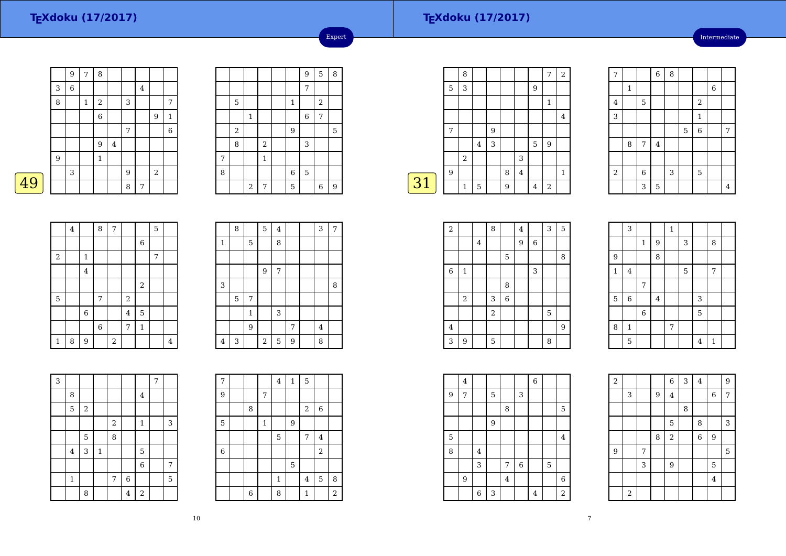49

### **TEXdoku (17/2017)**

Intermediate

|   |   | 9           | 7     | 8            |         |   |         |                |                |
|---|---|-------------|-------|--------------|---------|---|---------|----------------|----------------|
|   | 3 | $\,$ 6 $\,$ |       |              |         |   | $\bf 4$ |                |                |
|   | 8 |             | $\,1$ | $\sqrt{2}$   |         | 3 |         |                | 7              |
|   |   |             |       | 6            |         |   |         | $\overline{9}$ | $\mathbf{1}$   |
|   |   |             |       |              |         | 7 |         |                | $\overline{6}$ |
|   |   |             |       | 9            | $\bf 4$ |   |         |                |                |
|   | 9 |             |       | $\mathbf{1}$ |         |   |         |                |                |
|   |   | 3           |       |              |         | 9 |         | $\,2$          |                |
| 9 |   |             |       |              |         | 8 | 7       |                |                |

|   |                |             |                |              | 9                | 5          | 8 |
|---|----------------|-------------|----------------|--------------|------------------|------------|---|
|   |                |             |                |              | $\overline{7}$   |            |   |
|   | 5              |             |                | $\mathbf{1}$ |                  | $\sqrt{2}$ |   |
|   |                | $\mathbf 1$ |                |              | $\boldsymbol{6}$ | 7          |   |
|   | $\overline{a}$ |             |                | 9            |                  |            | 5 |
|   | 8              |             | $\overline{c}$ |              | 3                |            |   |
| 7 |                |             | $\mathbf{1}$   |              |                  |            |   |
| 8 |                |             |                | 6            | 5                |            |   |
|   |                | $\,2$       | 7              | 5            |                  | 6          | 9 |

Expert

|    |   | 8              |         |   |   |                |   | 7              | $\overline{2}$ |
|----|---|----------------|---------|---|---|----------------|---|----------------|----------------|
|    | 5 | 3              |         |   |   |                | 9 |                |                |
|    |   |                |         |   |   |                |   | 1              |                |
|    |   |                |         |   |   |                |   |                | 4              |
|    | 7 |                |         | 9 |   |                |   |                |                |
|    |   |                | $\,4\,$ | 3 |   |                | 5 | 9              |                |
|    |   | $\overline{2}$ |         |   |   | 3              |   |                |                |
|    | 9 |                |         |   | 8 | $\overline{4}$ |   |                | $\mathbf{1}$   |
| 31 |   | $\mathbf{1}$   | 5       |   | 9 |                | 4 | $\overline{2}$ |                |
|    |   |                |         |   |   |                |   |                |                |

| 7                       |             |                | $\,$ 6 $\,$    | 8 |             |                |       |                |
|-------------------------|-------------|----------------|----------------|---|-------------|----------------|-------|----------------|
|                         | $\mathbf 1$ |                |                |   |             |                | $\,6$ |                |
| $\overline{\mathbf{z}}$ |             | $\mathbf 5$    |                |   |             | $\overline{c}$ |       |                |
| $\overline{3}$          |             |                |                |   |             | $\mathbf{1}$   |       |                |
|                         |             |                |                |   | $\mathbf 5$ | $\overline{6}$ |       | 7              |
|                         | 8           | $\sqrt{ }$     | $\bf{4}$       |   |             |                |       |                |
|                         |             |                |                |   |             |                |       |                |
| $\sqrt{2}$              |             | $\overline{6}$ |                | 3 |             | 5              |       |                |
|                         |             | 3              | $\overline{5}$ |   |             |                |       | $\overline{4}$ |

|                | $\bf 4$ |                         | 8              | $\overline{7}$ |                |                | 5 |                |
|----------------|---------|-------------------------|----------------|----------------|----------------|----------------|---|----------------|
|                |         |                         |                |                |                | $\,6$          |   |                |
| $\,2$          |         | $\,1$                   |                |                |                |                | 7 |                |
|                |         | $\overline{\mathbf{4}}$ |                |                |                |                |   |                |
|                |         |                         |                |                |                | $\overline{2}$ |   |                |
| $\overline{5}$ |         |                         | $\overline{7}$ |                | $\,2$          |                |   |                |
|                |         | $\,$ 6 $\,$             |                |                | $\overline{4}$ | $\overline{5}$ |   |                |
|                |         |                         | $\,$ 6 $\,$    |                | 7              | $\mathbf 1$    |   |                |
| $\mathbf 1$    | 8       | 9                       |                | $\sqrt{2}$     |                |                |   | $\overline{4}$ |

|             | 8 |              | 5                       | $\overline{\mathbf{4}}$ |   | 3       | 7 |
|-------------|---|--------------|-------------------------|-------------------------|---|---------|---|
| $\mathbf 1$ |   | 5            |                         | 8                       |   |         |   |
|             |   |              |                         |                         |   |         |   |
|             |   |              | 9                       | 7                       |   |         |   |
| 3           |   |              |                         |                         |   |         | 8 |
|             | 5 | 7            |                         |                         |   |         |   |
|             |   | $\mathbf{1}$ |                         | 3                       |   |         |   |
|             |   | 9            |                         |                         | 7 | $\bf 4$ |   |
| 4           | 3 |              | $\overline{\mathbf{c}}$ | 5                       | 9 | 8       |   |

| $\overline{3}$ |                         |       |              |                  |                |                | 7 |                |
|----------------|-------------------------|-------|--------------|------------------|----------------|----------------|---|----------------|
|                | 8                       |       |              |                  |                | $\overline{4}$ |   |                |
|                | 5                       | $\,2$ |              |                  |                |                |   |                |
|                |                         |       |              | $\boldsymbol{2}$ |                | $\mathbf 1$    |   | 3              |
|                |                         | 5     |              | 8                |                |                |   |                |
|                | $\overline{\mathbf{4}}$ | 3     | $\mathbf{1}$ |                  |                | 5              |   |                |
|                |                         |       |              |                  |                | $\overline{6}$ |   | $\overline{7}$ |
|                | $\mathbf{1}$            |       |              | 7                | $\overline{6}$ |                |   | 5              |
|                |                         | 8     |              |                  | $\overline{4}$ | $\sqrt{2}$     |   |                |

| 7              |                |              | $\overline{4}$ | $\mathbf 1$ | 5              |                |                |
|----------------|----------------|--------------|----------------|-------------|----------------|----------------|----------------|
| 9              |                | 7            |                |             |                |                |                |
|                | 8              |              |                |             | $\overline{a}$ | 6              |                |
| 5              |                | $\mathbf{1}$ |                | 9           |                |                |                |
|                |                |              | 5              |             | 7              | 4              |                |
| $\overline{6}$ |                |              |                |             |                | $\overline{2}$ |                |
|                |                |              |                | 5           |                |                |                |
|                |                |              | $\mathbf{1}$   |             | $\overline{4}$ | 5              | 8              |
|                | $\overline{6}$ |              | 8              |             | $\mathbf{1}$   |                | $\overline{c}$ |

| $\,2$                   |                  |   | 8              |             | $\bf 4$ |       | 3 | 5              |  |
|-------------------------|------------------|---|----------------|-------------|---------|-------|---|----------------|--|
|                         |                  | 4 |                |             | 9       | $\,6$ |   |                |  |
|                         |                  |   |                | $\mathbf 5$ |         |       |   | 8              |  |
| $\overline{6}$          | $\mathbf 1$      |   |                |             |         | 3     |   |                |  |
|                         |                  |   |                | 8           |         |       |   |                |  |
|                         | $\boldsymbol{2}$ |   | 3              | $\,6$       |         |       |   |                |  |
|                         |                  |   | $\overline{a}$ |             |         |       | 5 |                |  |
| $\overline{\mathbf{4}}$ |                  |   |                |             |         |       |   | $\overline{9}$ |  |
| 3                       | 9                |   | $\mathbf 5$    |             |         |       | 8 |                |  |

|                | 3            |              |                | $\mathbf{1}$ |   |                |              |  |
|----------------|--------------|--------------|----------------|--------------|---|----------------|--------------|--|
|                |              | $\mathbf{1}$ | $\overline{9}$ |              | 3 |                | 8            |  |
| 9              |              |              | 8              |              |   |                |              |  |
| $\,1\,$        | $\bf 4$      |              |                |              | 5 |                | 7            |  |
|                |              | 7            |                |              |   |                |              |  |
| $\overline{5}$ | $\,$ 6 $\,$  |              | $\overline{4}$ |              |   | 3              |              |  |
|                |              | $\,$ 6 $\,$  |                |              |   | 5              |              |  |
| 8              | $\mathbf{1}$ |              |                | 7            |   |                |              |  |
|                | 5            |              |                |              |   | $\overline{4}$ | $\mathbf{1}$ |  |

|   | 4 |                         |   |         |                | $\overline{6}$ |                |                |
|---|---|-------------------------|---|---------|----------------|----------------|----------------|----------------|
| 9 | 7 |                         | 5 |         | 3              |                |                |                |
|   |   |                         |   | 8       |                |                |                | 5              |
|   |   |                         | 9 |         |                |                |                |                |
| 5 |   |                         |   |         |                |                |                | $\bf 4$        |
| 8 |   | $\overline{\mathbf{4}}$ |   |         |                |                |                |                |
|   |   | 3                       |   | 7       | $\overline{6}$ |                | $\overline{5}$ |                |
|   | 9 |                         |   | $\bf 4$ |                |                |                | $\overline{6}$ |
|   |   | $\,$ 6 $\,$             | 3 |         |                | 4              |                | $\overline{2}$ |

| $\sqrt{2}$ |            |   |   | 6              | 3 | $\overline{4}$ |             | 9 |
|------------|------------|---|---|----------------|---|----------------|-------------|---|
|            | 3          |   | 9 | $\overline{4}$ |   |                | $\,$ 6 $\,$ | 7 |
|            |            |   |   |                | 8 |                |             |   |
|            |            |   |   | 5              |   | 8              |             | 3 |
|            |            |   | 8 | $\overline{a}$ |   | $\overline{6}$ | 9           |   |
| 9          |            | 7 |   |                |   |                |             | 5 |
|            |            | 3 |   | 9              |   |                | 5           |   |
|            |            |   |   |                |   |                | $\bf 4$     |   |
|            | $\sqrt{2}$ |   |   |                |   |                |             |   |

10

7